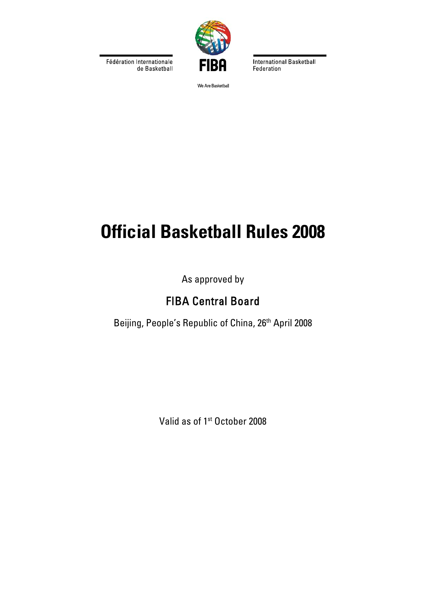**International Basketball** Federation

We Are Basketball

Fédération Internationale de Basketball

# **Official Basketball Rules 2008**

As approved by

## FIBA Central Board

Beijing, People's Republic of China, 26<sup>th</sup> April 2008

Valid as of 1<sup>st</sup> October 2008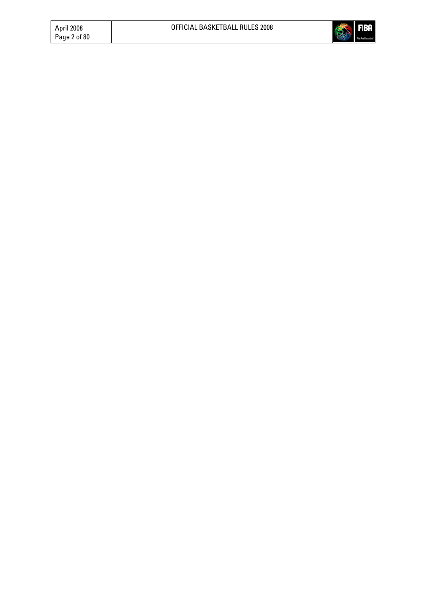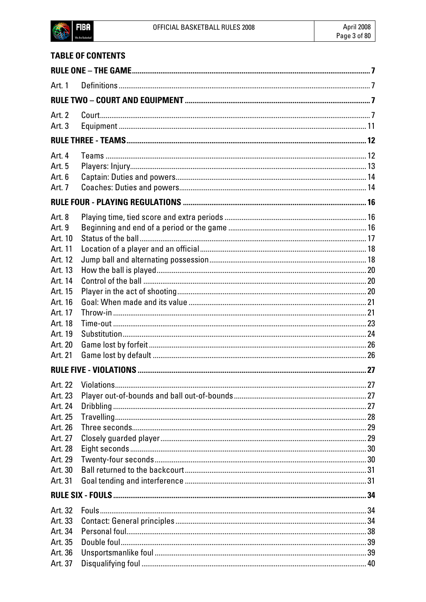|                    | <b>TABLE OF CONTENTS</b> |  |
|--------------------|--------------------------|--|
|                    |                          |  |
| Art. 1             |                          |  |
|                    |                          |  |
| Art. <sub>2</sub>  |                          |  |
| Art. 3             |                          |  |
|                    |                          |  |
| Art. 4             |                          |  |
| Art. 5             |                          |  |
| Art. 6             |                          |  |
| Art. 7             |                          |  |
|                    |                          |  |
| Art. 8             |                          |  |
| Art. 9             |                          |  |
| Art. 10            |                          |  |
| Art. 11            |                          |  |
| Art. 12            |                          |  |
| Art. 13            |                          |  |
| Art. 14            |                          |  |
| Art. 15            |                          |  |
| Art. 16            |                          |  |
| Art. 17            |                          |  |
| Art. 18            |                          |  |
| Art. 19            |                          |  |
| Art. 20<br>Art. 21 |                          |  |
|                    |                          |  |
|                    |                          |  |
| Art. 22            |                          |  |
| Art. 23<br>Art. 24 |                          |  |
| Art. 25            |                          |  |
| Art. 26            |                          |  |
| Art. 27            |                          |  |
| Art. 28            |                          |  |
| Art. 29            |                          |  |
| Art. 30            |                          |  |
| Art. 31            |                          |  |
|                    |                          |  |
| Art. 32            |                          |  |
| Art. 33            |                          |  |
| Art. 34            |                          |  |
| Art. 35            |                          |  |
| Art. 36            |                          |  |
| Art. 37            |                          |  |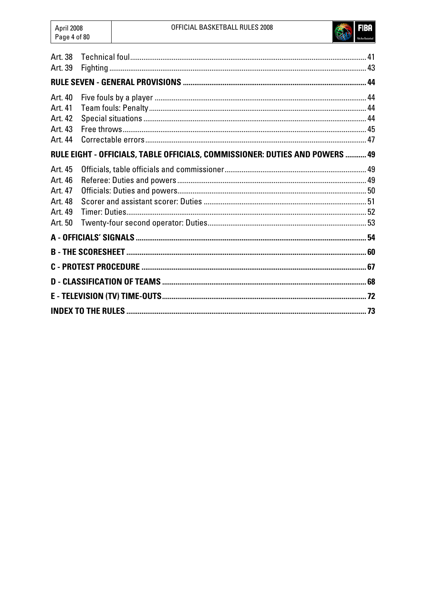

| Art. 38 |                                                                              |  |  |  |  |
|---------|------------------------------------------------------------------------------|--|--|--|--|
| Art. 39 |                                                                              |  |  |  |  |
|         |                                                                              |  |  |  |  |
| Art. 40 |                                                                              |  |  |  |  |
| Art. 41 |                                                                              |  |  |  |  |
| Art. 42 |                                                                              |  |  |  |  |
| Art. 43 |                                                                              |  |  |  |  |
| Art. 44 |                                                                              |  |  |  |  |
|         | RULE EIGHT - OFFICIALS, TABLE OFFICIALS, COMMISSIONER: DUTIES AND POWERS  49 |  |  |  |  |
| Art. 45 |                                                                              |  |  |  |  |
| Art. 46 |                                                                              |  |  |  |  |
| Art. 47 |                                                                              |  |  |  |  |
| Art. 48 |                                                                              |  |  |  |  |
| Art. 49 |                                                                              |  |  |  |  |
| Art. 50 |                                                                              |  |  |  |  |
|         |                                                                              |  |  |  |  |
|         |                                                                              |  |  |  |  |
|         |                                                                              |  |  |  |  |
|         |                                                                              |  |  |  |  |
|         |                                                                              |  |  |  |  |
|         |                                                                              |  |  |  |  |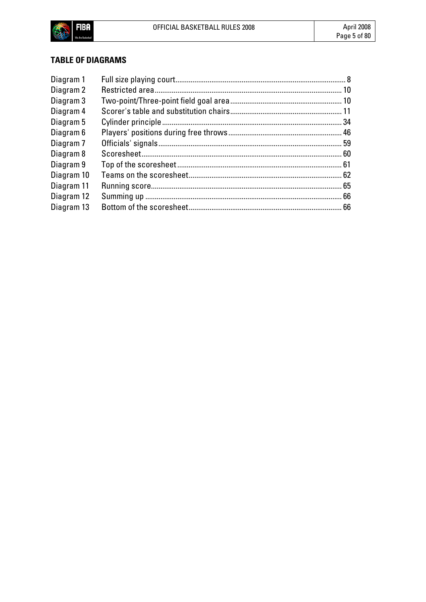

## **TABLE OF DIAGRAMS**

| Diagram 1  |  |
|------------|--|
| Diagram 2  |  |
| Diagram 3  |  |
| Diagram 4  |  |
| Diagram 5  |  |
| Diagram 6  |  |
| Diagram 7  |  |
| Diagram 8  |  |
| Diagram 9  |  |
| Diagram 10 |  |
| Diagram 11 |  |
| Diagram 12 |  |
| Diagram 13 |  |
|            |  |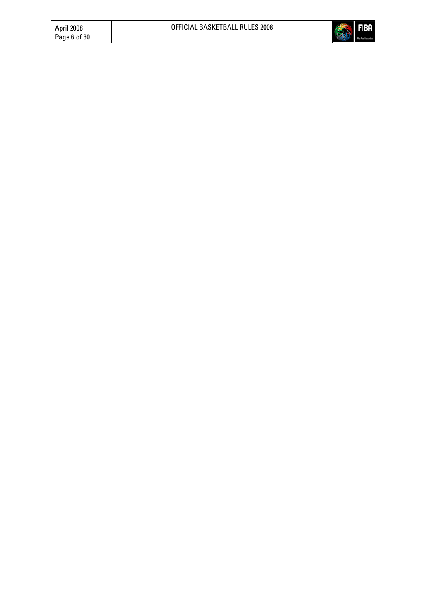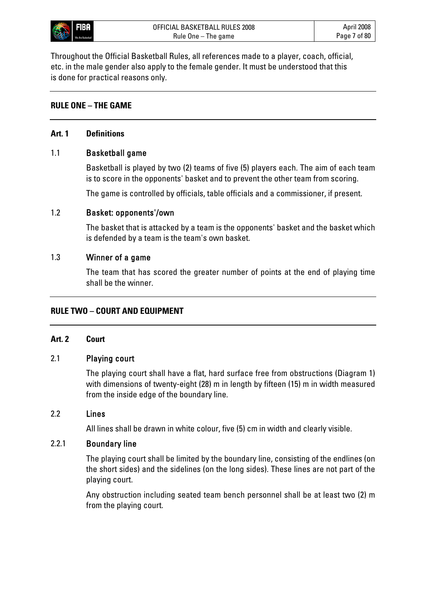Throughout the Official Basketball Rules, all references made to a player, coach, official, etc. in the male gender also apply to the female gender. It must be understood that this is done for practical reasons only.

#### <span id="page-6-0"></span>**RULE ONE – THE GAME**

#### <span id="page-6-1"></span>**Art. 1 Definitions**

#### 1.1 Basketball game

Basketball is played by two (2) teams of five (5) players each. The aim of each team is to score in the opponents' basket and to prevent the other team from scoring.

The game is controlled by officials, table officials and a commissioner, if present.

#### 1.2 Basket: opponents'/own

The basket that is attacked by a team is the opponents' basket and the basket which is defended by a team is the team's own basket.

#### 1.3 Winner of a game

The team that has scored the greater number of points at the end of playing time shall be the winner.

#### <span id="page-6-2"></span>**RULE TWO – COURT AND EQUIPMENT**

#### <span id="page-6-3"></span>**Art. 2 Court**

#### 2.1 Playing court

The playing court shall have a flat, hard surface free from obstructions ([Diagram 1](#page-7-0)) with dimensions of twenty-eight (28) m in length by fifteen (15) m in width measured from the inside edge of the boundary line.

#### 2.2 Lines

All lines shall be drawn in white colour, five (5) cm in width and clearly visible.

#### 2.2.1 Boundary line

The playing court shall be limited by the boundary line, consisting of the endlines (on the short sides) and the sidelines (on the long sides). These lines are not part of the playing court.

Any obstruction including seated team bench personnel shall be at least two (2) m from the playing court.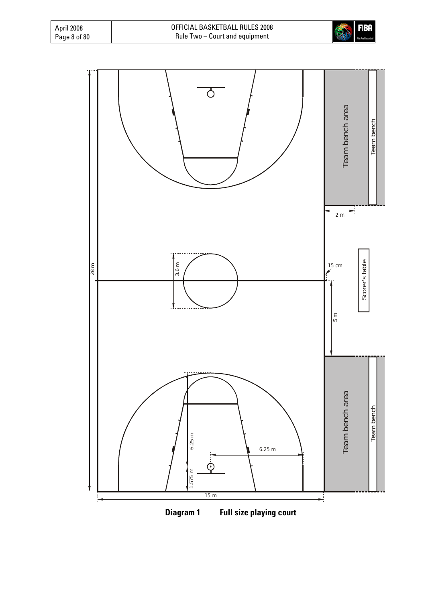#### OFFICIAL BASKETBALL RULES 2008 Rule Two – Court and equipment



<span id="page-7-0"></span>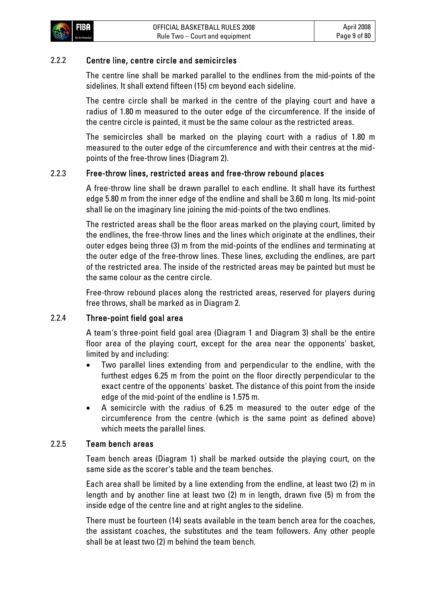

#### 2.2.2 Centre line, centre circle and semicircles

The centre line shall be marked parallel to the endlines from the mid-points of the sidelines. It shall extend fifteen (15) cm beyond each sideline.

The centre circle shall be marked in the centre of the playing court and have a radius of 1.80 m measured to the outer edge of the circumference. If the inside of the centre circle is painted, it must be the same colour as the restricted areas.

The semicircles shall be marked on the playing court with a radius of 1.80 m measured to the outer edge of the circumference and with their centres at the midpoints of the free-throw lines [\(Diagram 2\)](#page-9-0).

#### 2.2.3 Free-throw lines, restricted areas and free-throw rebound places

A free-throw line shall be drawn parallel to each endline. It shall have its furthest edge 5.80 m from the inner edge of the endline and shall be 3.60 m long. Its mid-point shall lie on the imaginary line joining the mid-points of the two endlines.

The restricted areas shall be the floor areas marked on the playing court, limited by the endlines, the free-throw lines and the lines which originate at the endlines, their outer edges being three (3) m from the mid-points of the endlines and terminating at the outer edge of the free-throw lines. These lines, excluding the endlines, are part of the restricted area. The inside of the restricted areas may be painted but must be the same colour as the centre circle.

Free-throw rebound places along the restricted areas, reserved for players during free throws, shall be marked as in [Diagram 2.](#page-9-0)

## 2.2.4 Three-point field goal area

A team's three-point field goal area ([Diagram 1](#page-7-0) and [Diagram 3](#page-9-1)) shall be the entire floor area of the playing court, except for the area near the opponents' basket, limited by and including:

- Two parallel lines extending from and perpendicular to the endline, with the furthest edges 6.25 m from the point on the floor directly perpendicular to the exact centre of the opponents' basket. The distance of this point from the inside edge of the mid-point of the endline is 1.575 m.
- A semicircle with the radius of 6.25 m measured to the outer edge of the circumference from the centre (which is the same point as defined above) which meets the parallel lines.

#### 2.2.5 Team bench areas

Team bench areas ([Diagram 1](#page-7-0)) shall be marked outside the playing court, on the same side as the scorer's table and the team benches.

Each area shall be limited by a line extending from the endline, at least two (2) m in length and by another line at least two (2) m in length, drawn five (5) m from the inside edge of the centre line and at right angles to the sideline.

There must be fourteen (14) seats available in the team bench area for the coaches, the assistant coaches, the substitutes and the team followers. Any other people shall be at least two (2) m behind the team bench.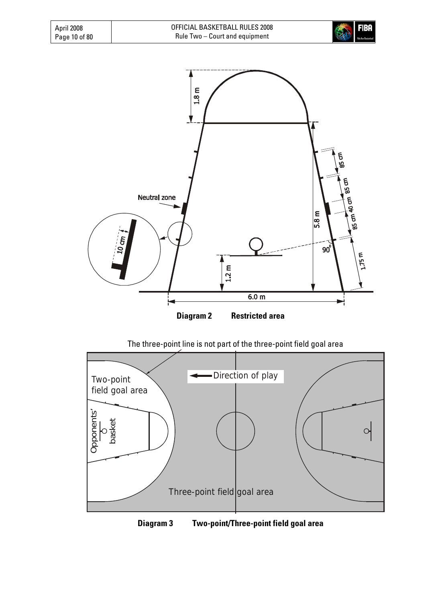

<span id="page-9-0"></span>

<span id="page-9-1"></span>**Diagram 3 Two-point/Three-point field goal area**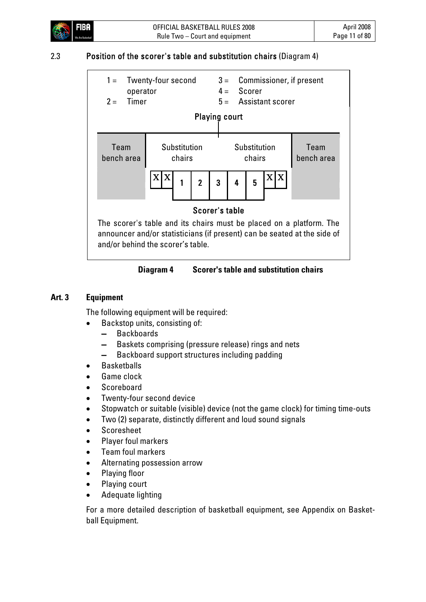

## 2.3 Position of the scorer's table and substitution chairs [\(Diagram 4\)](#page-10-1)



**Diagram 4 Scorer's table and substitution chairs** 

#### <span id="page-10-1"></span><span id="page-10-0"></span>**Art. 3 Equipment**

The following equipment will be required:

- Backstop units, consisting of:
	- ▬ Backboards
		- Baskets comprising (pressure release) rings and nets
		- ▬ Backboard support structures including padding
- Basketballs
- Game clock
- Scoreboard
- Twenty-four second device
- Stopwatch or suitable (visible) device (not the game clock) for timing time-outs
- Two (2) separate, distinctly different and loud sound signals
- Scoresheet
- Player foul markers
- Team foul markers
- Alternating possession arrow
- Playing floor
- Playing court
- Adequate lighting

For a more detailed description of basketball equipment, see Appendix on Basketball Equipment.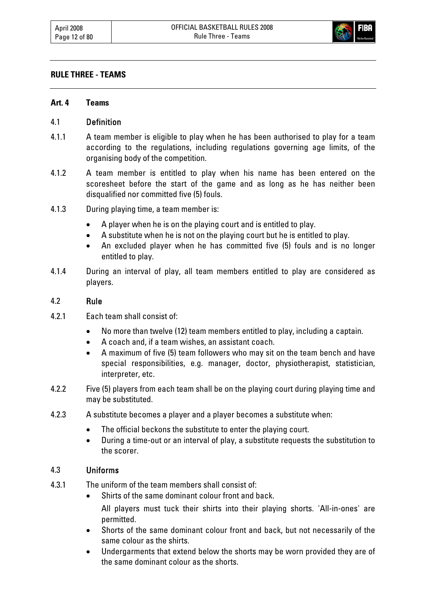

#### <span id="page-11-0"></span>**RULE THREE - TEAMS**

#### <span id="page-11-1"></span>**Art. 4 Teams**

#### 4.1 Definition

- 4.1.1 A team member is eligible to play when he has been authorised to play for a team according to the regulations, including regulations governing age limits, of the organising body of the competition.
- 4.1.2 A team member is entitled to play when his name has been entered on the scoresheet before the start of the game and as long as he has neither been disqualified nor committed five (5) fouls.
- 4.1.3 During playing time, a team member is:
	- A player when he is on the playing court and is entitled to play.
	- A substitute when he is not on the playing court but he is entitled to play.
	- An excluded player when he has committed five (5) fouls and is no longer entitled to play.
- 4.1.4 During an interval of play, all team members entitled to play are considered as players.

#### 4.2 Rule

- 4.2.1 Each team shall consist of:
	- No more than twelve (12) team members entitled to play, including a captain.
	- A coach and, if a team wishes, an assistant coach.
	- A maximum of five (5) team followers who may sit on the team bench and have special responsibilities, e.g. manager, doctor, physiotherapist, statistician, interpreter, etc.
- 4.2.2 Five (5) players from each team shall be on the playing court during playing time and may be substituted.
- 4.2.3 A substitute becomes a player and a player becomes a substitute when:
	- The official beckons the substitute to enter the playing court.
	- During a time-out or an interval of play, a substitute requests the substitution to the scorer.

#### 4.3 Uniforms

- 4.3.1 The uniform of the team members shall consist of:
	- Shirts of the same dominant colour front and back. All players must tuck their shirts into their playing shorts. 'All-in-ones' are permitted.
	- Shorts of the same dominant colour front and back, but not necessarily of the same colour as the shirts.
	- Undergarments that extend below the shorts may be worn provided they are of the same dominant colour as the shorts.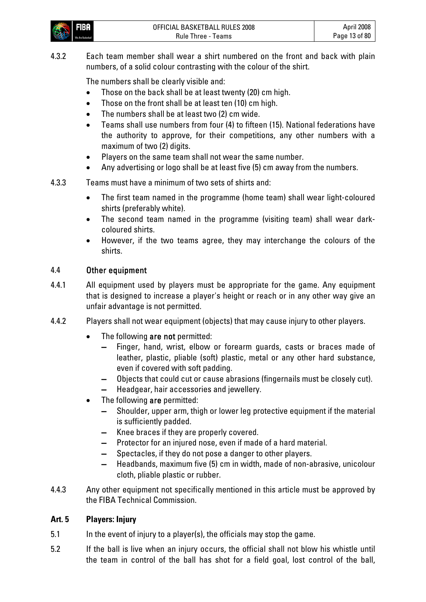4.3.2 Each team member shall wear a shirt numbered on the front and back with plain numbers, of a solid colour contrasting with the colour of the shirt.

The numbers shall be clearly visible and:

- Those on the back shall be at least twenty (20) cm high.
- Those on the front shall be at least ten (10) cm high.
- The numbers shall be at least two (2) cm wide.
- Teams shall use numbers from four (4) to fifteen (15). National federations have the authority to approve, for their competitions, any other numbers with a maximum of two (2) digits.
- Players on the same team shall not wear the same number.
- Any advertising or logo shall be at least five (5) cm away from the numbers.
- 4.3.3 Teams must have a minimum of two sets of shirts and:
	- The first team named in the programme (home team) shall wear light-coloured shirts (preferably white).
	- The second team named in the programme (visiting team) shall wear darkcoloured shirts.
	- However, if the two teams agree, they may interchange the colours of the shirts.

## 4.4 Other equipment

- 4.4.1 All equipment used by players must be appropriate for the game. Any equipment that is designed to increase a player's height or reach or in any other way give an unfair advantage is not permitted.
- 4.4.2 Players shall not wear equipment (objects) that may cause injury to other players.
	- The following are not permitted:
		- ▬ Finger, hand, wrist, elbow or forearm guards, casts or braces made of leather, plastic, pliable (soft) plastic, metal or any other hard substance, even if covered with soft padding.
		- ▬ Objects that could cut or cause abrasions (fingernails must be closely cut).
		- Headgear, hair accessories and jewellery.
	- The following are permitted:
		- ▬ Shoulder, upper arm, thigh or lower leg protective equipment if the material is sufficiently padded.
		- $-$  Knee braces if they are properly covered.
		- Protector for an injured nose, even if made of a hard material.
		- Spectacles, if they do not pose a danger to other players.
		- Headbands, maximum five (5) cm in width, made of non-abrasive, unicolour cloth, pliable plastic or rubber.
- 4.4.3 Any other equipment not specifically mentioned in this article must be approved by the FIBA Technical Commission.

## <span id="page-12-0"></span>**Art. 5 Players: Injury**

- 5.1 In the event of injury to a player(s), the officials may stop the game.
- 5.2 If the ball is live when an injury occurs, the official shall not blow his whistle until the team in control of the ball has shot for a field goal, lost control of the ball,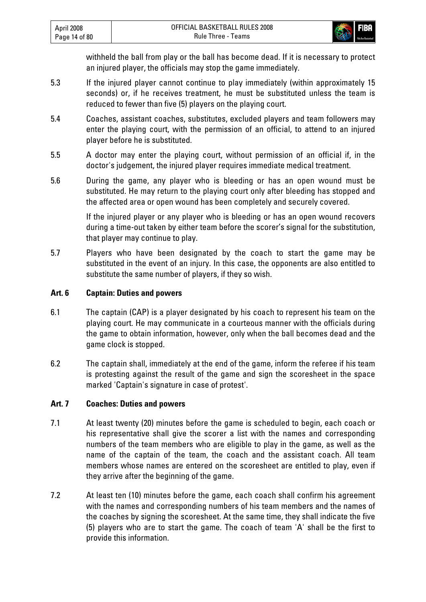

withheld the ball from play or the ball has become dead. If it is necessary to protect an injured player, the officials may stop the game immediately.

- 5.3 If the injured player cannot continue to play immediately (within approximately 15 seconds) or, if he receives treatment, he must be substituted unless the team is reduced to fewer than five (5) players on the playing court.
- 5.4 Coaches, assistant coaches, substitutes, excluded players and team followers may enter the playing court, with the permission of an official, to attend to an injured player before he is substituted.
- 5.5 A doctor may enter the playing court, without permission of an official if, in the doctor's judgement, the injured player requires immediate medical treatment.
- 5.6 During the game, any player who is bleeding or has an open wound must be substituted. He may return to the playing court only after bleeding has stopped and the affected area or open wound has been completely and securely covered.

If the injured player or any player who is bleeding or has an open wound recovers during a time-out taken by either team before the scorer's signal for the substitution, that player may continue to play.

5.7 Players who have been designated by the coach to start the game may be substituted in the event of an injury. In this case, the opponents are also entitled to substitute the same number of players, if they so wish.

#### <span id="page-13-0"></span>**Art. 6 Captain: Duties and powers**

April 2008 Page 14 of 80

- 6.1 The captain (CAP) is a player designated by his coach to represent his team on the playing court. He may communicate in a courteous manner with the officials during the game to obtain information, however, only when the ball becomes dead and the game clock is stopped.
- 6.2 The captain shall, immediately at the end of the game, inform the referee if his team is protesting against the result of the game and sign the scoresheet in the space marked 'Captain's signature in case of protest'.

#### <span id="page-13-1"></span>**Art. 7 Coaches: Duties and powers**

- 7.1 At least twenty (20) minutes before the game is scheduled to begin, each coach or his representative shall give the scorer a list with the names and corresponding numbers of the team members who are eligible to play in the game, as well as the name of the captain of the team, the coach and the assistant coach. All team members whose names are entered on the scoresheet are entitled to play, even if they arrive after the beginning of the game.
- 7.2 At least ten (10) minutes before the game, each coach shall confirm his agreement with the names and corresponding numbers of his team members and the names of the coaches by signing the scoresheet. At the same time, they shall indicate the five (5) players who are to start the game. The coach of team 'A' shall be the first to provide this information.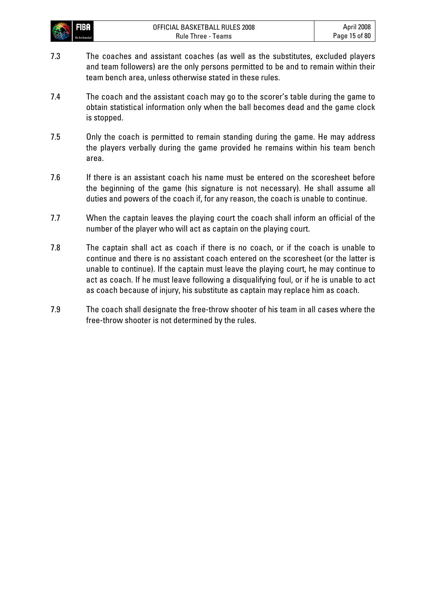

- 7.3 The coaches and assistant coaches (as well as the substitutes, excluded players and team followers) are the only persons permitted to be and to remain within their team bench area, unless otherwise stated in these rules.
- 7.4 The coach and the assistant coach may go to the scorer's table during the game to obtain statistical information only when the ball becomes dead and the game clock is stopped.
- 7.5 Only the coach is permitted to remain standing during the game. He may address the players verbally during the game provided he remains within his team bench area.
- 7.6 If there is an assistant coach his name must be entered on the scoresheet before the beginning of the game (his signature is not necessary). He shall assume all duties and powers of the coach if, for any reason, the coach is unable to continue.
- 7.7 When the captain leaves the playing court the coach shall inform an official of the number of the player who will act as captain on the playing court.
- 7.8 The captain shall act as coach if there is no coach, or if the coach is unable to continue and there is no assistant coach entered on the scoresheet (or the latter is unable to continue). If the captain must leave the playing court, he may continue to act as coach. If he must leave following a disqualifying foul, or if he is unable to act as coach because of injury, his substitute as captain may replace him as coach.
- 7.9 The coach shall designate the free-throw shooter of his team in all cases where the free-throw shooter is not determined by the rules.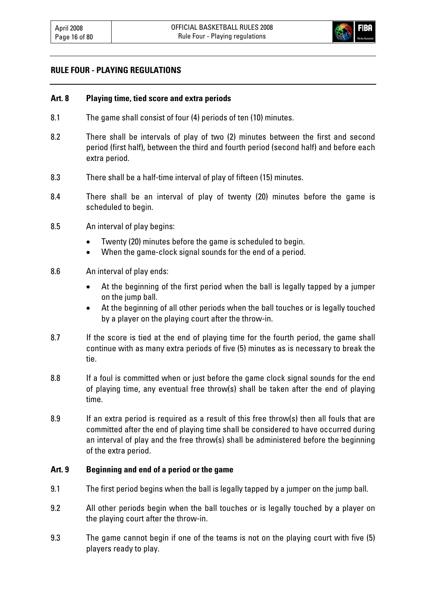

#### <span id="page-15-0"></span>**RULE FOUR - PLAYING REGULATIONS**

#### <span id="page-15-1"></span>**Art. 8 Playing time, tied score and extra periods**

- 8.1 The game shall consist of four (4) periods of ten (10) minutes.
- 8.2 There shall be intervals of play of two (2) minutes between the first and second period (first half), between the third and fourth period (second half) and before each extra period.
- 8.3 There shall be a half-time interval of play of fifteen (15) minutes.
- 8.4 There shall be an interval of play of twenty (20) minutes before the game is scheduled to begin.
- 8.5 An interval of play begins:
	- Twenty (20) minutes before the game is scheduled to begin.
	- When the game-clock signal sounds for the end of a period.
- 8.6 An interval of play ends:
	- At the beginning of the first period when the ball is legally tapped by a jumper on the jump ball.
	- At the beginning of all other periods when the ball touches or is legally touched by a player on the playing court after the throw-in.
- 8.7 If the score is tied at the end of playing time for the fourth period, the game shall continue with as many extra periods of five (5) minutes as is necessary to break the tie.
- 8.8 If a foul is committed when or just before the game clock signal sounds for the end of playing time, any eventual free throw(s) shall be taken after the end of playing time.
- 8.9 If an extra period is required as a result of this free throw(s) then all fouls that are committed after the end of playing time shall be considered to have occurred during an interval of play and the free throw(s) shall be administered before the beginning of the extra period.

#### <span id="page-15-2"></span>**Art. 9 Beginning and end of a period or the game**

- 9.1 The first period begins when the ball is legally tapped by a jumper on the jump ball.
- 9.2 All other periods begin when the ball touches or is legally touched by a player on the playing court after the throw-in.
- 9.3 The game cannot begin if one of the teams is not on the playing court with five (5) players ready to play.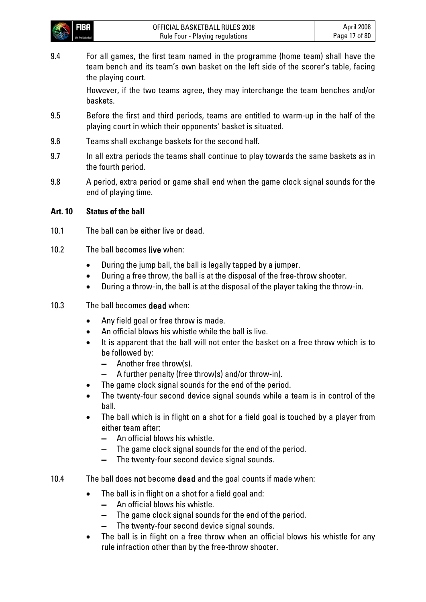

9.4 For all games, the first team named in the programme (home team) shall have the team bench and its team's own basket on the left side of the scorer's table, facing the playing court.

> However, if the two teams agree, they may interchange the team benches and/or baskets.

- 9.5 Before the first and third periods, teams are entitled to warm-up in the half of the playing court in which their opponents' basket is situated.
- 9.6 Teams shall exchange baskets for the second half.
- 9.7 In all extra periods the teams shall continue to play towards the same baskets as in the fourth period.
- 9.8 A period, extra period or game shall end when the game clock signal sounds for the end of playing time.

#### <span id="page-16-0"></span>**Art. 10 Status of the ball**

- 10.1 The ball can be either live or dead.
- 10.2 The ball becomes live when:
	- During the jump ball, the ball is legally tapped by a jumper.
	- During a free throw, the ball is at the disposal of the free-throw shooter.
	- During a throw-in, the ball is at the disposal of the player taking the throw-in.

#### 10.3 The ball becomes **dead** when:

- Any field goal or free throw is made.
- An official blows his whistle while the ball is live.
- It is apparent that the ball will not enter the basket on a free throw which is to be followed by:
	- ▬ Another free throw(s).
	- $-$  A further penalty (free throw(s) and/or throw-in).
- The game clock signal sounds for the end of the period.
- The twenty-four second device signal sounds while a team is in control of the ball.
- The ball which is in flight on a shot for a field goal is touched by a player from either team after:
	- An official blows his whistle.
	- The game clock signal sounds for the end of the period.
	- The twenty-four second device signal sounds.
- 10.4 The ball does **not** become **dead** and the goal counts if made when:
	- The ball is in flight on a shot for a field goal and:
		- ▬ An official blows his whistle.
		- $-$  The game clock signal sounds for the end of the period.
		- The twenty-four second device signal sounds.
	- The ball is in flight on a free throw when an official blows his whistle for any rule infraction other than by the free-throw shooter.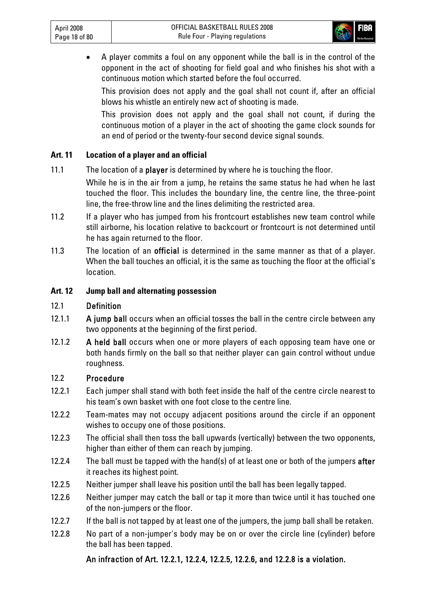

• A player commits a foul on any opponent while the ball is in the control of the opponent in the act of shooting for field goal and who finishes his shot with a continuous motion which started before the foul occurred.

This provision does not apply and the goal shall not count if, after an official blows his whistle an entirely new act of shooting is made.

This provision does not apply and the goal shall not count, if during the continuous motion of a player in the act of shooting the game clock sounds for an end of period or the twenty-four second device signal sounds.

## <span id="page-17-0"></span>**Art. 11 Location of a player and an official**

11.1 The location of a **player** is determined by where he is touching the floor.

While he is in the air from a jump, he retains the same status he had when he last touched the floor. This includes the boundary line, the centre line, the three-point line, the free-throw line and the lines delimiting the restricted area.

- 11.2 If a player who has jumped from his frontcourt establishes new team control while still airborne, his location relative to backcourt or frontcourt is not determined until he has again returned to the floor.
- 11.3 The location of an **official** is determined in the same manner as that of a player. When the ball touches an official, it is the same as touching the floor at the official's location.

## <span id="page-17-1"></span>**Art. 12 Jump ball and alternating possession**

## 12.1 Definition

- 12.1.1 **A jump ball** occurs when an official tosses the ball in the centre circle between any two opponents at the beginning of the first period.
- 12.1.2 A held ball occurs when one or more players of each opposing team have one or both hands firmly on the ball so that neither player can gain control without undue roughness.

## 12.2 Procedure

- <span id="page-17-2"></span>12.2.1 Each jumper shall stand with both feet inside the half of the centre circle nearest to his team's own basket with one foot close to the centre line.
- 12.2.2 Team-mates may not occupy adjacent positions around the circle if an opponent wishes to occupy one of those positions.
- 12.2.3 The official shall then toss the ball upwards (vertically) between the two opponents, higher than either of them can reach by jumping.
- <span id="page-17-3"></span>12.2.4 The ball must be tapped with the hand(s) of at least one or both of the jumpers after it reaches its highest point.
- <span id="page-17-4"></span>12.2.5 Neither jumper shall leave his position until the ball has been legally tapped.
- <span id="page-17-5"></span>12.2.6 Neither jumper may catch the ball or tap it more than twice until it has touched one of the non-jumpers or the floor.
- 12.2.7 If the ball is not tapped by at least one of the jumpers, the jump ball shall be retaken.
- <span id="page-17-6"></span>12.2.8 No part of a non-jumper's body may be on or over the circle line (cylinder) before the ball has been tapped.

## An infraction of Art. [12.2.1,](#page-17-2) [12.2.4](#page-17-3), [12.2.5,](#page-17-4) [12.2.6](#page-17-5), and [12.2.8](#page-17-6) is a violation.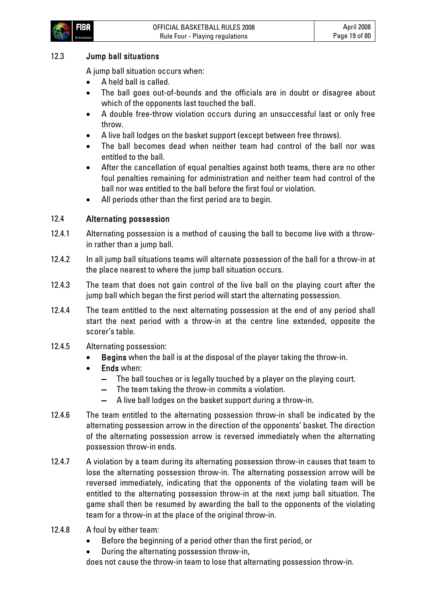

#### 12.3 Jump ball situations

A jump ball situation occurs when:

- A held ball is called.
- The ball goes out-of-bounds and the officials are in doubt or disagree about which of the opponents last touched the ball.
- A double free-throw violation occurs during an unsuccessful last or only free throw.
- A live ball lodges on the basket support (except between free throws).
- The ball becomes dead when neither team had control of the ball nor was entitled to the ball.
- After the cancellation of equal penalties against both teams, there are no other foul penalties remaining for administration and neither team had control of the ball nor was entitled to the ball before the first foul or violation.
- All periods other than the first period are to begin.

#### 12.4 Alternating possession

- 12.4.1 Alternating possession is a method of causing the ball to become live with a throwin rather than a jump ball.
- 12.4.2 In all jump ball situations teams will alternate possession of the ball for a throw-in at the place nearest to where the jump ball situation occurs.
- 12.4.3 The team that does not gain control of the live ball on the playing court after the jump ball which began the first period will start the alternating possession.
- 12.4.4 The team entitled to the next alternating possession at the end of any period shall start the next period with a throw-in at the centre line extended, opposite the scorer's table.
- 12.4.5 Alternating possession:
	- Begins when the ball is at the disposal of the player taking the throw-in.
	- Ends when:
		- $-$  The ball touches or is legally touched by a player on the playing court.
		- The team taking the throw-in commits a violation.
		- ▬ A live ball lodges on the basket support during a throw-in.
- 12.4.6 The team entitled to the alternating possession throw-in shall be indicated by the alternating possession arrow in the direction of the opponents' basket. The direction of the alternating possession arrow is reversed immediately when the alternating possession throw-in ends.
- 12.4.7 A violation by a team during its alternating possession throw-in causes that team to lose the alternating possession throw-in. The alternating possession arrow will be reversed immediately, indicating that the opponents of the violating team will be entitled to the alternating possession throw-in at the next jump ball situation. The game shall then be resumed by awarding the ball to the opponents of the violating team for a throw-in at the place of the original throw-in.
- 12.4.8 A foul by either team:
	- Before the beginning of a period other than the first period, or
	- During the alternating possession throw-in,
	- does not cause the throw-in team to lose that alternating possession throw-in.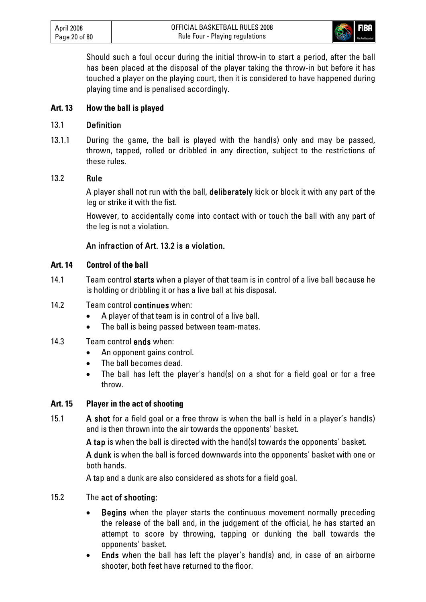

Should such a foul occur during the initial throw-in to start a period, after the ball has been placed at the disposal of the player taking the throw-in but before it has touched a player on the playing court, then it is considered to have happened during playing time and is penalised accordingly.

## <span id="page-19-0"></span>**Art. 13 How the ball is played**

## 13.1 Definition

13.1.1 During the game, the ball is played with the hand(s) only and may be passed, thrown, tapped, rolled or dribbled in any direction, subject to the restrictions of these rules.

#### <span id="page-19-3"></span>13.2 Rule

A player shall not run with the ball, deliberately kick or block it with any part of the leg or strike it with the fist.

However, to accidentally come into contact with or touch the ball with any part of the leg is not a violation.

## An infraction of Art. [13.2](#page-19-3) is a violation.

#### <span id="page-19-1"></span>**Art. 14 Control of the ball**

14.1 Team control starts when a player of that team is in control of a live ball because he is holding or dribbling it or has a live ball at his disposal.

#### 14.2 Team control continues when:

- A player of that team is in control of a live ball.
- The ball is being passed between team-mates.
- 14.3 Team control ends when:
	- An opponent gains control.
	- The ball becomes dead.
	- The ball has left the player's hand(s) on a shot for a field goal or for a free throw.

#### <span id="page-19-2"></span>**Art. 15 Player in the act of shooting**

15.1 A shot for a field goal or a free throw is when the ball is held in a player's hand(s) and is then thrown into the air towards the opponents' basket.

A tap is when the ball is directed with the hand(s) towards the opponents' basket.

A dunk is when the ball is forced downwards into the opponents' basket with one or both hands.

A tap and a dunk are also considered as shots for a field goal.

#### 15.2 The act of shooting:

- Begins when the player starts the continuous movement normally preceding the release of the ball and, in the judgement of the official, he has started an attempt to score by throwing, tapping or dunking the ball towards the opponents' basket.
- Ends when the ball has left the player's hand(s) and, in case of an airborne shooter, both feet have returned to the floor.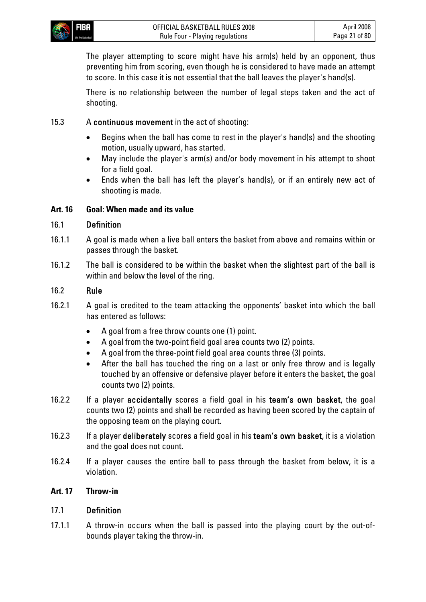

The player attempting to score might have his arm(s) held by an opponent, thus preventing him from scoring, even though he is considered to have made an attempt to score. In this case it is not essential that the ball leaves the player's hand(s).

There is no relationship between the number of legal steps taken and the act of shooting.

## 15.3 A continuous movement in the act of shooting:

- Begins when the ball has come to rest in the player's hand(s) and the shooting motion, usually upward, has started.
- May include the player's arm(s) and/or body movement in his attempt to shoot for a field goal.
- Ends when the ball has left the player's hand(s), or if an entirely new act of shooting is made.

## <span id="page-20-0"></span>**Art. 16 Goal: When made and its value**

#### 16.1 Definition

- 16.1.1 A goal is made when a live ball enters the basket from above and remains within or passes through the basket.
- 16.1.2 The ball is considered to be within the basket when the slightest part of the ball is within and below the level of the ring.

#### 16.2 Rule

- 16.2.1 A goal is credited to the team attacking the opponents' basket into which the ball has entered as follows:
	- A goal from a free throw counts one (1) point.
	- A goal from the two-point field goal area counts two (2) points.
	- A goal from the three-point field goal area counts three (3) points.
	- After the ball has touched the ring on a last or only free throw and is legally touched by an offensive or defensive player before it enters the basket, the goal counts two (2) points.
- 16.2.2 If a player accidentally scores a field goal in his team's own basket, the goal counts two (2) points and shall be recorded as having been scored by the captain of the opposing team on the playing court.
- 16.2.3 If a player deliberately scores a field goal in his team's own basket, it is a violation and the goal does not count.
- 16.2.4 If a player causes the entire ball to pass through the basket from below, it is a violation.

#### <span id="page-20-1"></span>**Art. 17 Throw-in**

#### 17.1 Definition

17.1.1 A throw-in occurs when the ball is passed into the playing court by the out-ofbounds player taking the throw-in.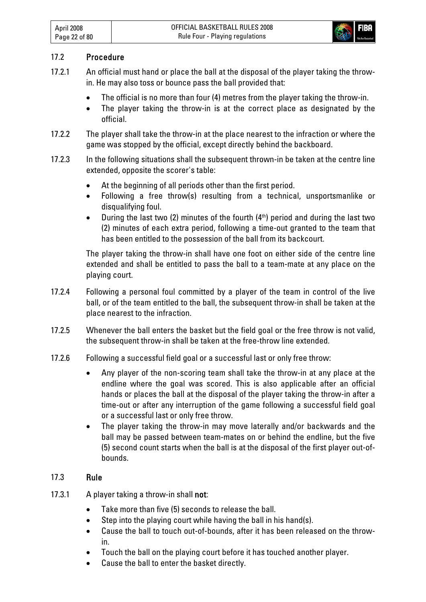

## 17.2 Procedure

- 17.2.1 An official must hand or place the ball at the disposal of the player taking the throwin. He may also toss or bounce pass the ball provided that:
	- The official is no more than four (4) metres from the player taking the throw-in.
	- The player taking the throw-in is at the correct place as designated by the official.
- 17.2.2 The player shall take the throw-in at the place nearest to the infraction or where the game was stopped by the official, except directly behind the backboard.
- 17.2.3 In the following situations shall the subsequent thrown-in be taken at the centre line extended, opposite the scorer's table:
	- At the beginning of all periods other than the first period.
	- Following a free throw(s) resulting from a technical, unsportsmanlike or disqualifying foul.
	- During the last two (2) minutes of the fourth  $(4<sup>th</sup>)$  period and during the last two (2) minutes of each extra period, following a time-out granted to the team that has been entitled to the possession of the ball from its backcourt.

The player taking the throw-in shall have one foot on either side of the centre line extended and shall be entitled to pass the ball to a team-mate at any place on the playing court.

- 17.2.4 Following a personal foul committed by a player of the team in control of the live ball, or of the team entitled to the ball, the subsequent throw-in shall be taken at the place nearest to the infraction.
- 17.2.5 Whenever the ball enters the basket but the field goal or the free throw is not valid, the subsequent throw-in shall be taken at the free-throw line extended.
- 17.2.6 Following a successful field goal or a successful last or only free throw:
	- Any player of the non-scoring team shall take the throw-in at any place at the endline where the goal was scored. This is also applicable after an official hands or places the ball at the disposal of the player taking the throw-in after a time-out or after any interruption of the game following a successful field goal or a successful last or only free throw.
	- The player taking the throw-in may move laterally and/or backwards and the ball may be passed between team-mates on or behind the endline, but the five (5) second count starts when the ball is at the disposal of the first player out-ofbounds.

## <span id="page-21-0"></span>17.3 Rule

- 17.3.1 A player taking a throw-in shall not:
	- Take more than five (5) seconds to release the ball.
	- Step into the playing court while having the ball in his hand(s).
	- Cause the ball to touch out-of-bounds, after it has been released on the throwin.
	- Touch the ball on the playing court before it has touched another player.
	- Cause the ball to enter the basket directly.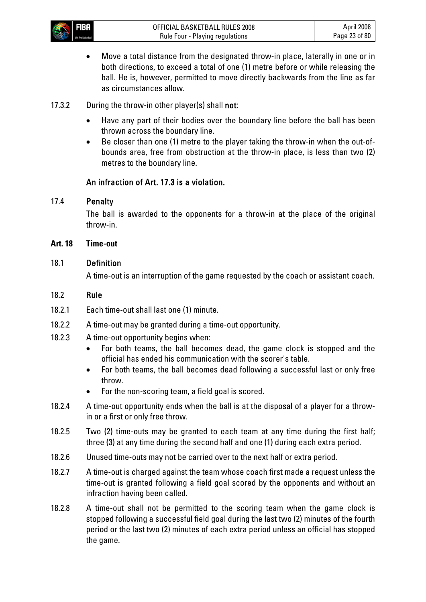

- Move a total distance from the designated throw-in place, laterally in one or in both directions, to exceed a total of one (1) metre before or while releasing the ball. He is, however, permitted to move directly backwards from the line as far as circumstances allow.
- 17.3.2 During the throw-in other player(s) shall not:
	- Have any part of their bodies over the boundary line before the ball has been thrown across the boundary line.
	- Be closer than one (1) metre to the player taking the throw-in when the out-ofbounds area, free from obstruction at the throw-in place, is less than two (2) metres to the boundary line.

## An infraction of Art. [17.3](#page-21-0) is a violation.

#### 17.4 Penalty

The ball is awarded to the opponents for a throw-in at the place of the original throw-in.

<span id="page-22-0"></span>**Art. 18 Time-out** 

#### 18.1 Definition

A time-out is an interruption of the game requested by the coach or assistant coach.

#### 18.2 Rule

- 18.2.1 Each time-out shall last one (1) minute.
- 18.2.2 A time-out may be granted during a time-out opportunity.
- 18.2.3 A time-out opportunity begins when:
	- For both teams, the ball becomes dead, the game clock is stopped and the official has ended his communication with the scorer's table.
	- For both teams, the ball becomes dead following a successful last or only free throw.
	- For the non-scoring team, a field goal is scored.
- 18.2.4 A time-out opportunity ends when the ball is at the disposal of a player for a throwin or a first or only free throw.
- 18.2.5 Two (2) time-outs may be granted to each team at any time during the first half; three (3) at any time during the second half and one (1) during each extra period.
- 18.2.6 Unused time-outs may not be carried over to the next half or extra period.
- 18.2.7 A time-out is charged against the team whose coach first made a request unless the time-out is granted following a field goal scored by the opponents and without an infraction having been called.
- 18.2.8 A time-out shall not be permitted to the scoring team when the game clock is stopped following a successful field goal during the last two (2) minutes of the fourth period or the last two (2) minutes of each extra period unless an official has stopped the game.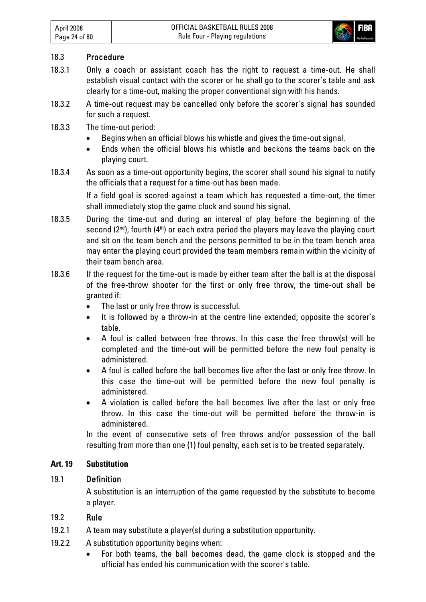

## 18.3 Procedure

- 18.3.1 Only a coach or assistant coach has the right to request a time-out. He shall establish visual contact with the scorer or he shall go to the scorer's table and ask clearly for a time-out, making the proper conventional sign with his hands.
- 18.3.2 A time-out request may be cancelled only before the scorer's signal has sounded for such a request.
- 18.3.3 The time-out period:
	- Begins when an official blows his whistle and gives the time-out signal.
	- Ends when the official blows his whistle and beckons the teams back on the playing court.
- 18.3.4 As soon as a time-out opportunity begins, the scorer shall sound his signal to notify the officials that a request for a time-out has been made.

If a field goal is scored against a team which has requested a time-out, the timer shall immediately stop the game clock and sound his signal.

- 18.3.5 During the time-out and during an interval of play before the beginning of the second ( $2<sup>nd</sup>$ ), fourth ( $4<sup>th</sup>$ ) or each extra period the players may leave the playing court and sit on the team bench and the persons permitted to be in the team bench area may enter the playing court provided the team members remain within the vicinity of their team bench area.
- 18.3.6 If the request for the time-out is made by either team after the ball is at the disposal of the free-throw shooter for the first or only free throw, the time-out shall be granted if:
	- The last or only free throw is successful.
	- It is followed by a throw-in at the centre line extended, opposite the scorer's table.
	- A foul is called between free throws. In this case the free throw(s) will be completed and the time-out will be permitted before the new foul penalty is administered.
	- A foul is called before the ball becomes live after the last or only free throw. In this case the time-out will be permitted before the new foul penalty is administered.
	- A violation is called before the ball becomes live after the last or only free throw. In this case the time-out will be permitted before the throw-in is administered.

In the event of consecutive sets of free throws and/or possession of the ball resulting from more than one (1) foul penalty, each set is to be treated separately.

## <span id="page-23-0"></span>**Art. 19 Substitution**

## 19.1 Definition

A substitution is an interruption of the game requested by the substitute to become a player.

## 19.2 Rule

- 19.2.1 A team may substitute a player(s) during a substitution opportunity.
- 19.2.2 A substitution opportunity begins when:
	- For both teams, the ball becomes dead, the game clock is stopped and the official has ended his communication with the scorer's table.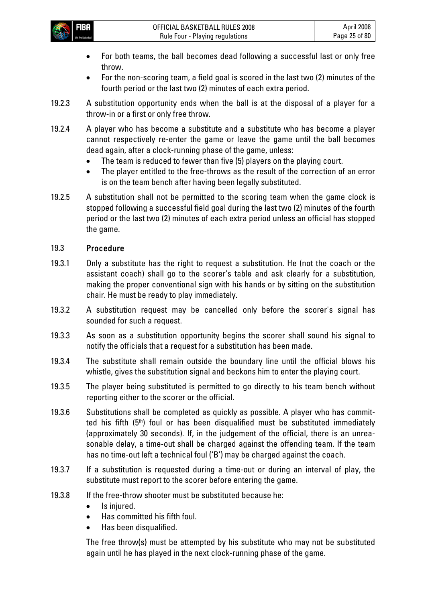

- For both teams, the ball becomes dead following a successful last or only free throw.
- For the non-scoring team, a field goal is scored in the last two (2) minutes of the fourth period or the last two (2) minutes of each extra period.
- 19.2.3 A substitution opportunity ends when the ball is at the disposal of a player for a throw-in or a first or only free throw.
- 19.2.4 A player who has become a substitute and a substitute who has become a player cannot respectively re-enter the game or leave the game until the ball becomes dead again, after a clock-running phase of the game, unless:
	- The team is reduced to fewer than five (5) players on the playing court.
	- The player entitled to the free-throws as the result of the correction of an error is on the team bench after having been legally substituted.
- 19.2.5 A substitution shall not be permitted to the scoring team when the game clock is stopped following a successful field goal during the last two (2) minutes of the fourth period or the last two (2) minutes of each extra period unless an official has stopped the game.

## 19.3 Procedure

- 19.3.1 Only a substitute has the right to request a substitution. He (not the coach or the assistant coach) shall go to the scorer's table and ask clearly for a substitution, making the proper conventional sign with his hands or by sitting on the substitution chair. He must be ready to play immediately.
- 19.3.2 A substitution request may be cancelled only before the scorer's signal has sounded for such a request.
- 19.3.3 As soon as a substitution opportunity begins the scorer shall sound his signal to notify the officials that a request for a substitution has been made.
- 19.3.4 The substitute shall remain outside the boundary line until the official blows his whistle, gives the substitution signal and beckons him to enter the playing court.
- 19.3.5 The player being substituted is permitted to go directly to his team bench without reporting either to the scorer or the official.
- 19.3.6 Substitutions shall be completed as quickly as possible. A player who has committed his fifth  $(5<sup>th</sup>)$  foul or has been disqualified must be substituted immediately (approximately 30 seconds). If, in the judgement of the official, there is an unreasonable delay, a time-out shall be charged against the offending team. If the team has no time-out left a technical foul ('B') may be charged against the coach.
- 19.3.7 If a substitution is requested during a time-out or during an interval of play, the substitute must report to the scorer before entering the game.
- 19.3.8 If the free-throw shooter must be substituted because he:
	- Is injured.
	- Has committed his fifth foul.
	- Has been disqualified.

The free throw(s) must be attempted by his substitute who may not be substituted again until he has played in the next clock-running phase of the game.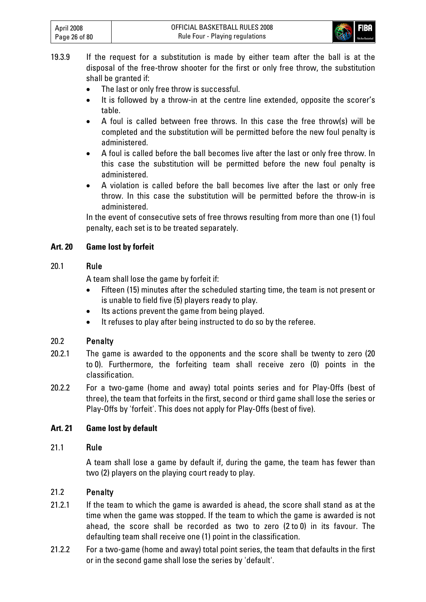- 19.3.9 If the request for a substitution is made by either team after the ball is at the disposal of the free-throw shooter for the first or only free throw, the substitution shall be granted if:
	- The last or only free throw is successful.
	- It is followed by a throw-in at the centre line extended, opposite the scorer's table.
	- A foul is called between free throws. In this case the free throw(s) will be completed and the substitution will be permitted before the new foul penalty is administered.
	- A foul is called before the ball becomes live after the last or only free throw. In this case the substitution will be permitted before the new foul penalty is administered.
	- A violation is called before the ball becomes live after the last or only free throw. In this case the substitution will be permitted before the throw-in is administered.

In the event of consecutive sets of free throws resulting from more than one (1) foul penalty, each set is to be treated separately.

## <span id="page-25-0"></span>**Art. 20 Game lost by forfeit**

## 20.1 Rule

A team shall lose the game by forfeit if:

- Fifteen (15) minutes after the scheduled starting time, the team is not present or is unable to field five (5) players ready to play.
- Its actions prevent the game from being played.
- It refuses to play after being instructed to do so by the referee.

## 20.2 Penalty

- 20.2.1 The game is awarded to the opponents and the score shall be twenty to zero (20 to 0). Furthermore, the forfeiting team shall receive zero (0) points in the classification.
- 20.2.2 For a two-game (home and away) total points series and for Play-Offs (best of three), the team that forfeits in the first, second or third game shall lose the series or Play-Offs by 'forfeit'. This does not apply for Play-Offs (best of five).

## <span id="page-25-1"></span>**Art. 21 Game lost by default**

## 21.1 Rule

A team shall lose a game by default if, during the game, the team has fewer than two (2) players on the playing court ready to play.

## 21.2 Penalty

- 21.2.1 If the team to which the game is awarded is ahead, the score shall stand as at the time when the game was stopped. If the team to which the game is awarded is not ahead, the score shall be recorded as two to zero (2 to 0) in its favour. The defaulting team shall receive one (1) point in the classification.
- 21.2.2 For a two-game (home and away) total point series, the team that defaults in the first or in the second game shall lose the series by 'default'.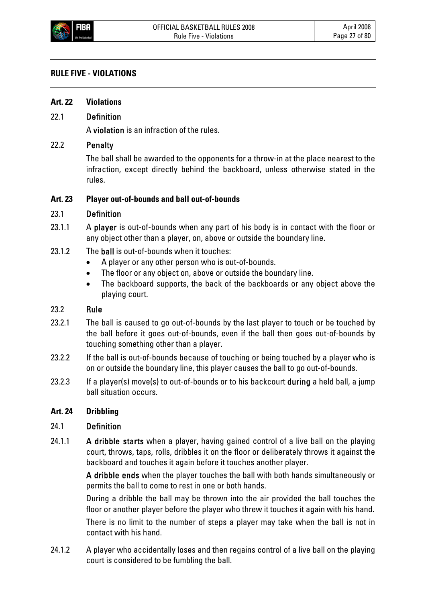## <span id="page-26-0"></span>**RULE FIVE - VIOLATIONS**

<span id="page-26-1"></span>**Art. 22 Violations** 

## 22.1 Definition

A violation is an infraction of the rules.

## 22.2 Penalty

The ball shall be awarded to the opponents for a throw-in at the place nearest to the infraction, except directly behind the backboard, unless otherwise stated in the rules.

## <span id="page-26-2"></span>**Art. 23 Player out-of-bounds and ball out-of-bounds**

## 23.1 Definition

- 23.1.1 A player is out-of-bounds when any part of his body is in contact with the floor or any object other than a player, on, above or outside the boundary line.
- 23.1.2 The ball is out-of-bounds when it touches:
	- A player or any other person who is out-of-bounds.
	- The floor or any object on, above or outside the boundary line.
	- The backboard supports, the back of the backboards or any object above the playing court.

## 23.2 Rule

- 23.2.1 The ball is caused to go out-of-bounds by the last player to touch or be touched by the ball before it goes out-of-bounds, even if the ball then goes out-of-bounds by touching something other than a player.
- 23.2.2 If the ball is out-of-bounds because of touching or being touched by a player who is on or outside the boundary line, this player causes the ball to go out-of-bounds.
- 23.2.3 If a player(s) move(s) to out-of-bounds or to his backcourt **during** a held ball, a jump ball situation occurs.

## <span id="page-26-3"></span>**Art. 24 Dribbling**

## 24.1 Definition

24.1.1 A dribble starts when a player, having gained control of a live ball on the playing court, throws, taps, rolls, dribbles it on the floor or deliberately throws it against the backboard and touches it again before it touches another player.

> A dribble ends when the player touches the ball with both hands simultaneously or permits the ball to come to rest in one or both hands.

> During a dribble the ball may be thrown into the air provided the ball touches the floor or another player before the player who threw it touches it again with his hand.

> There is no limit to the number of steps a player may take when the ball is not in contact with his hand.

24.1.2 A player who accidentally loses and then regains control of a live ball on the playing court is considered to be fumbling the ball.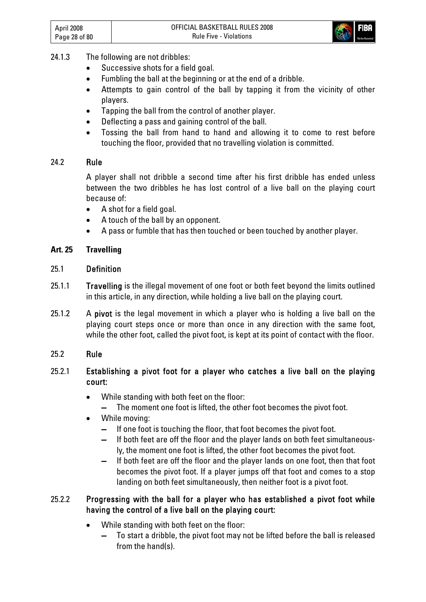- 24.1.3 The following are not dribbles:
	- Successive shots for a field goal.
	- Fumbling the ball at the beginning or at the end of a dribble.
	- Attempts to gain control of the ball by tapping it from the vicinity of other players.
	- Tapping the ball from the control of another player.
	- Deflecting a pass and gaining control of the ball.
	- Tossing the ball from hand to hand and allowing it to come to rest before touching the floor, provided that no travelling violation is committed.

## 24.2 Rule

A player shall not dribble a second time after his first dribble has ended unless between the two dribbles he has lost control of a live ball on the playing court because of:

- A shot for a field goal.
- A touch of the ball by an opponent.
- A pass or fumble that has then touched or been touched by another player.

## <span id="page-27-0"></span>**Art. 25 Travelling**

## 25.1 Definition

- 25.1.1 **Travelling** is the illegal movement of one foot or both feet beyond the limits outlined in this article, in any direction, while holding a live ball on the playing court.
- 25.1.2 A pivot is the legal movement in which a player who is holding a live ball on the playing court steps once or more than once in any direction with the same foot, while the other foot, called the pivot foot, is kept at its point of contact with the floor.

## 25.2 Rule

## 25.2.1 Establishing a pivot foot for a player who catches a live ball on the playing court:

- While standing with both feet on the floor:
	- The moment one foot is lifted, the other foot becomes the pivot foot.
- While moving:
	- If one foot is touching the floor, that foot becomes the pivot foot.
	- ▬ If both feet are off the floor and the player lands on both feet simultaneously, the moment one foot is lifted, the other foot becomes the pivot foot.
	- ▬ If both feet are off the floor and the player lands on one foot, then that foot becomes the pivot foot. If a player jumps off that foot and comes to a stop landing on both feet simultaneously, then neither foot is a pivot foot.

## 25.2.2 Progressing with the ball for a player who has established a pivot foot while having the control of a live ball on the playing court:

- While standing with both feet on the floor:
	- ▬ To start a dribble, the pivot foot may not be lifted before the ball is released from the hand(s).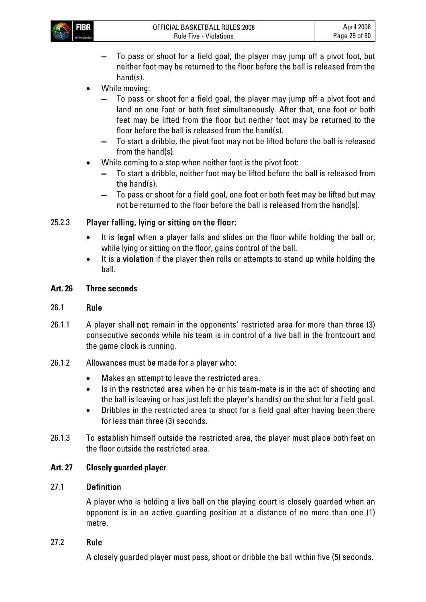

- ▬ To pass or shoot for a field goal, the player may jump off a pivot foot, but neither foot may be returned to the floor before the ball is released from the hand(s).
- While moving:
	- To pass or shoot for a field goal, the player may jump off a pivot foot and land on one foot or both feet simultaneously. After that, one foot or both feet may be lifted from the floor but neither foot may be returned to the floor before the ball is released from the hand(s).
	- ▬ To start a dribble, the pivot foot may not be lifted before the ball is released from the hand(s).
- While coming to a stop when neither foot is the pivot foot:
	- ▬ To start a dribble, neither foot may be lifted before the ball is released from the hand(s).
	- To pass or shoot for a field goal, one foot or both feet may be lifted but may not be returned to the floor before the ball is released from the hand(s).

## 25.2.3 Player falling, lying or sitting on the floor:

- It is legal when a player falls and slides on the floor while holding the ball or, while lying or sitting on the floor, gains control of the ball.
- It is a violation if the player then rolls or attempts to stand up while holding the ball.

## <span id="page-28-0"></span>**Art. 26 Three seconds**

## 26.1 Rule

- 26.1.1 A player shall not remain in the opponents' restricted area for more than three (3) consecutive seconds while his team is in control of a live ball in the frontcourt and the game clock is running.
- 26.1.2 Allowances must be made for a player who:
	- Makes an attempt to leave the restricted area.
	- Is in the restricted area when he or his team-mate is in the act of shooting and the ball is leaving or has just left the player's hand(s) on the shot for a field goal.
	- Dribbles in the restricted area to shoot for a field goal after having been there for less than three (3) seconds.
- 26.1.3 To establish himself outside the restricted area, the player must place both feet on the floor outside the restricted area.

## <span id="page-28-1"></span>**Art. 27 Closely guarded player**

## 27.1 Definition

A player who is holding a live ball on the playing court is closely guarded when an opponent is in an active guarding position at a distance of no more than one (1) metre.

## 27.2 Rule

A closely guarded player must pass, shoot or dribble the ball within five (5) seconds.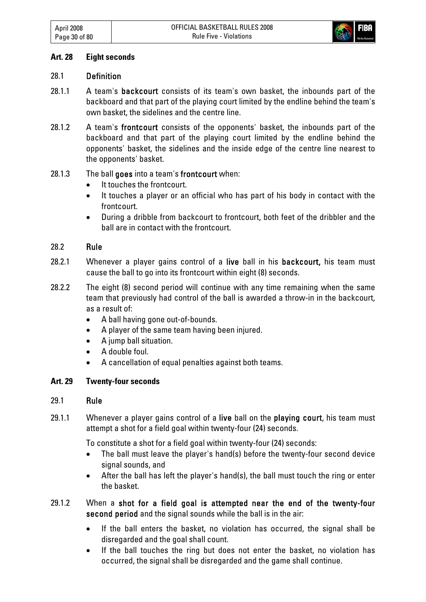

## <span id="page-29-0"></span>**Art. 28 Eight seconds**

#### 28.1 Definition

- 28.1.1 A team's backcourt consists of its team's own basket, the inbounds part of the backboard and that part of the playing court limited by the endline behind the team's own basket, the sidelines and the centre line.
- 28.1.2 A team's frontcourt consists of the opponents' basket, the inbounds part of the backboard and that part of the playing court limited by the endline behind the opponents' basket, the sidelines and the inside edge of the centre line nearest to the opponents' basket.

#### 28.1.3 The ball goes into a team's frontcourt when:

- It touches the frontcourt.
- It touches a player or an official who has part of his body in contact with the frontcourt.
- During a dribble from backcourt to frontcourt, both feet of the dribbler and the ball are in contact with the frontcourt.

#### 28.2 Rule

- 28.2.1 Whenever a player gains control of a live ball in his backcourt, his team must cause the ball to go into its frontcourt within eight (8) seconds.
- 28.2.2 The eight (8) second period will continue with any time remaining when the same team that previously had control of the ball is awarded a throw-in in the backcourt, as a result of:
	- A ball having gone out-of-bounds.
	- A player of the same team having been injured.
	- A jump ball situation.
	- A double foul.
	- A cancellation of equal penalties against both teams.

#### <span id="page-29-1"></span>**Art. 29 Twenty-four seconds**

#### 29.1 Rule

29.1.1 Whenever a player gains control of a live ball on the playing court, his team must attempt a shot for a field goal within twenty-four (24) seconds.

To constitute a shot for a field goal within twenty-four (24) seconds:

- The ball must leave the player's hand(s) before the twenty-four second device signal sounds, and
- After the ball has left the player's hand(s), the ball must touch the ring or enter the basket.
- 29.1.2 When a shot for a field goal is attempted near the end of the twenty-four second period and the signal sounds while the ball is in the air:
	- If the ball enters the basket, no violation has occurred, the signal shall be disregarded and the goal shall count.
	- If the ball touches the ring but does not enter the basket, no violation has occurred, the signal shall be disregarded and the game shall continue.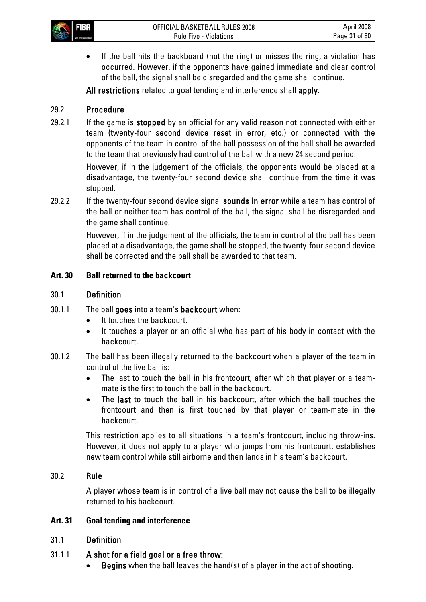

If the ball hits the backboard (not the ring) or misses the ring, a violation has occurred. However, if the opponents have gained immediate and clear control of the ball, the signal shall be disregarded and the game shall continue.

All restrictions related to goal tending and interference shall apply.

## 29.2 Procedure

29.2.1 If the game is **stopped** by an official for any valid reason not connected with either team (twenty-four second device reset in error, etc.) or connected with the opponents of the team in control of the ball possession of the ball shall be awarded to the team that previously had control of the ball with a new 24 second period.

> However, if in the judgement of the officials, the opponents would be placed at a disadvantage, the twenty-four second device shall continue from the time it was stopped.

29.2.2 If the twenty-four second device signal **sounds in error** while a team has control of the ball or neither team has control of the ball, the signal shall be disregarded and the game shall continue.

> However, if in the judgement of the officials, the team in control of the ball has been placed at a disadvantage, the game shall be stopped, the twenty-four second device shall be corrected and the ball shall be awarded to that team.

## <span id="page-30-0"></span>**Art. 30 Ball returned to the backcourt**

#### 30.1 Definition

- 30.1.1 The ball goes into a team's backcourt when:
	- It touches the backcourt.
	- It touches a player or an official who has part of his body in contact with the backcourt.
- 30.1.2 The ball has been illegally returned to the backcourt when a player of the team in control of the live ball is:
	- The last to touch the ball in his frontcourt, after which that player or a teammate is the first to touch the ball in the backcourt.
	- The last to touch the ball in his backcourt, after which the ball touches the frontcourt and then is first touched by that player or team-mate in the backcourt.

This restriction applies to all situations in a team's frontcourt, including throw-ins. However, it does not apply to a player who jumps from his frontcourt, establishes new team control while still airborne and then lands in his team's backcourt.

#### 30.2 Rule

A player whose team is in control of a live ball may not cause the ball to be illegally returned to his backcourt.

#### <span id="page-30-1"></span>**Art. 31 Goal tending and interference**

#### 31.1 Definition

## 31.1.1 A shot for a field goal or a free throw:

• Begins when the ball leaves the hand(s) of a player in the act of shooting.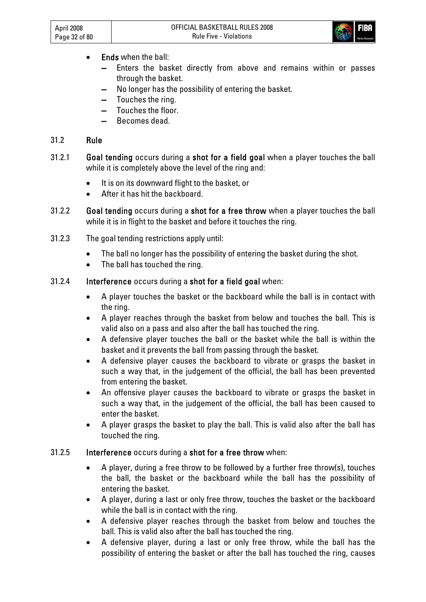- Ends when the ball:
	- ▬ Enters the basket directly from above and remains within or passes through the basket.
	- ▬ No longer has the possibility of entering the basket.
	- Touches the ring.
	- ▬ Touches the floor.
	- ▬ Becomes dead.

## 31.2 Rule

- 31.2.1 Goal tending occurs during a shot for a field goal when a player touches the ball while it is completely above the level of the ring and:
	- It is on its downward flight to the basket, or
	- After it has hit the backboard.
- 31.2.2 Goal tending occurs during a shot for a free throw when a player touches the ball while it is in flight to the basket and before it touches the ring.
- 31.2.3 The goal tending restrictions apply until:
	- The ball no longer has the possibility of entering the basket during the shot.
	- The ball has touched the ring.

## 31.2.4 Interference occurs during a shot for a field goal when:

- A player touches the basket or the backboard while the ball is in contact with the ring.
- A player reaches through the basket from below and touches the ball. This is valid also on a pass and also after the ball has touched the ring.
- A defensive player touches the ball or the basket while the ball is within the basket and it prevents the ball from passing through the basket.
- A defensive player causes the backboard to vibrate or grasps the basket in such a way that, in the judgement of the official, the ball has been prevented from entering the basket.
- An offensive player causes the backboard to vibrate or grasps the basket in such a way that, in the judgement of the official, the ball has been caused to enter the basket.
- A player grasps the basket to play the ball. This is valid also after the ball has touched the ring.

## 31.2.5 Interference occurs during a shot for a free throw when:

- A player, during a free throw to be followed by a further free throw(s), touches the ball, the basket or the backboard while the ball has the possibility of entering the basket.
- A player, during a last or only free throw, touches the basket or the backboard while the ball is in contact with the ring.
- A defensive player reaches through the basket from below and touches the ball. This is valid also after the ball has touched the ring.
- A defensive player, during a last or only free throw, while the ball has the possibility of entering the basket or after the ball has touched the ring, causes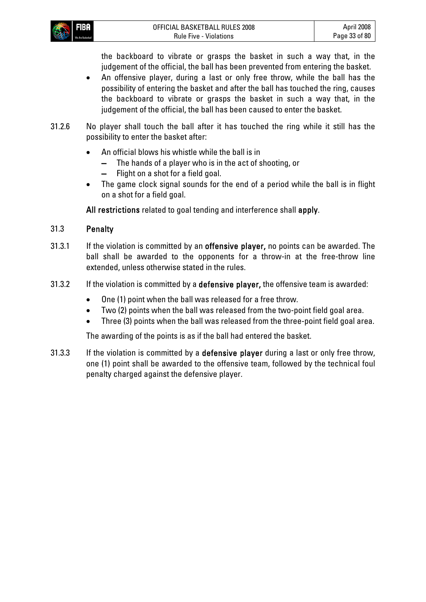

the backboard to vibrate or grasps the basket in such a way that, in the judgement of the official, the ball has been prevented from entering the basket.

- An offensive player, during a last or only free throw, while the ball has the possibility of entering the basket and after the ball has touched the ring, causes the backboard to vibrate or grasps the basket in such a way that, in the judgement of the official, the ball has been caused to enter the basket.
- 31.2.6 No player shall touch the ball after it has touched the ring while it still has the possibility to enter the basket after:
	- An official blows his whistle while the ball is in
		- The hands of a player who is in the act of shooting, or
		- $-$  Flight on a shot for a field goal.
	- The game clock signal sounds for the end of a period while the ball is in flight on a shot for a field goal.

All restrictions related to goal tending and interference shall apply.

## 31.3 Penalty

- 31.3.1 If the violation is committed by an **offensive player**, no points can be awarded. The ball shall be awarded to the opponents for a throw-in at the free-throw line extended, unless otherwise stated in the rules.
- 31.3.2 If the violation is committed by a defensive player, the offensive team is awarded:
	- One (1) point when the ball was released for a free throw.
	- Two (2) points when the ball was released from the two-point field goal area.
	- Three (3) points when the ball was released from the three-point field goal area.

The awarding of the points is as if the ball had entered the basket.

31.3.3 If the violation is committed by a **defensive player** during a last or only free throw, one (1) point shall be awarded to the offensive team, followed by the technical foul penalty charged against the defensive player.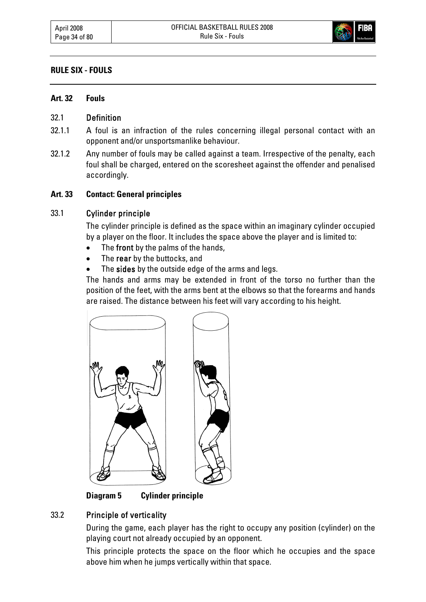

#### <span id="page-33-0"></span>**RULE SIX - FOULS**

#### <span id="page-33-1"></span>**Art. 32 Fouls**

#### 32.1 Definition

- 32.1.1 A foul is an infraction of the rules concerning illegal personal contact with an opponent and/or unsportsmanlike behaviour.
- 32.1.2 Any number of fouls may be called against a team. Irrespective of the penalty, each foul shall be charged, entered on the scoresheet against the offender and penalised accordingly.

#### <span id="page-33-2"></span>**Art. 33 Contact: General principles**

#### 33.1 Cylinder principle

The cylinder principle is defined as the space within an imaginary cylinder occupied by a player on the floor. It includes the space above the player and is limited to:

- The front by the palms of the hands,
- The rear by the buttocks, and
- The sides by the outside edge of the arms and legs.

The hands and arms may be extended in front of the torso no further than the position of the feet, with the arms bent at the elbows so that the forearms and hands are raised. The distance between his feet will vary according to his height.



**Diagram 5 Cylinder principle** 

## <span id="page-33-3"></span>33.2 Principle of verticality

During the game, each player has the right to occupy any position (cylinder) on the playing court not already occupied by an opponent.

This principle protects the space on the floor which he occupies and the space above him when he jumps vertically within that space.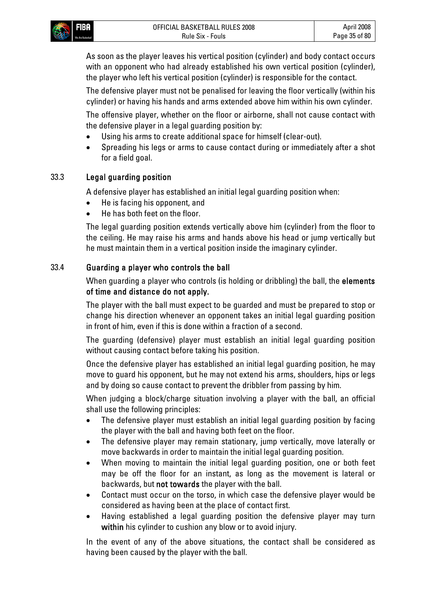As soon as the player leaves his vertical position (cylinder) and body contact occurs with an opponent who had already established his own vertical position (cylinder), the player who left his vertical position (cylinder) is responsible for the contact.

The defensive player must not be penalised for leaving the floor vertically (within his cylinder) or having his hands and arms extended above him within his own cylinder.

The offensive player, whether on the floor or airborne, shall not cause contact with the defensive player in a legal guarding position by:

- Using his arms to create additional space for himself (clear-out).
- Spreading his legs or arms to cause contact during or immediately after a shot for a field goal.

## 33.3 Legal guarding position

A defensive player has established an initial legal guarding position when:

- He is facing his opponent, and
- He has both feet on the floor.

The legal guarding position extends vertically above him (cylinder) from the floor to the ceiling. He may raise his arms and hands above his head or jump vertically but he must maintain them in a vertical position inside the imaginary cylinder.

## 33.4 Guarding a player who controls the ball

When guarding a player who controls (is holding or dribbling) the ball, the elements of time and distance do not apply.

The player with the ball must expect to be guarded and must be prepared to stop or change his direction whenever an opponent takes an initial legal guarding position in front of him, even if this is done within a fraction of a second.

The guarding (defensive) player must establish an initial legal guarding position without causing contact before taking his position.

Once the defensive player has established an initial legal guarding position, he may move to guard his opponent, but he may not extend his arms, shoulders, hips or legs and by doing so cause contact to prevent the dribbler from passing by him.

When judging a block/charge situation involving a player with the ball, an official shall use the following principles:

- The defensive player must establish an initial legal guarding position by facing the player with the ball and having both feet on the floor.
- The defensive player may remain stationary, jump vertically, move laterally or move backwards in order to maintain the initial legal guarding position.
- When moving to maintain the initial legal guarding position, one or both feet may be off the floor for an instant, as long as the movement is lateral or backwards, but not towards the player with the ball.
- Contact must occur on the torso, in which case the defensive player would be considered as having been at the place of contact first.
- Having established a legal guarding position the defensive player may turn within his cylinder to cushion any blow or to avoid injury.

In the event of any of the above situations, the contact shall be considered as having been caused by the player with the ball.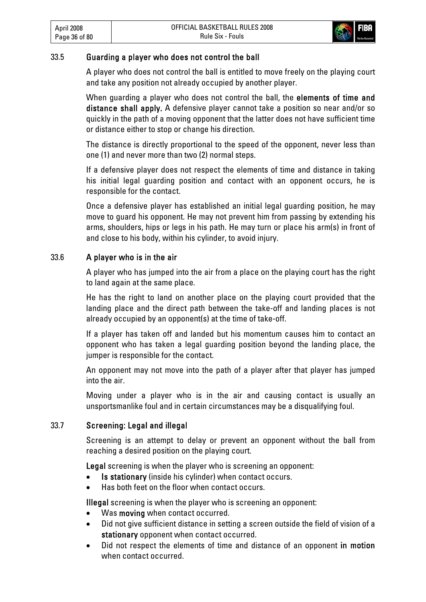

## 33.5 Guarding a player who does not control the ball

A player who does not control the ball is entitled to move freely on the playing court and take any position not already occupied by another player.

When guarding a player who does not control the ball, the elements of time and distance shall apply. A defensive player cannot take a position so near and/or so quickly in the path of a moving opponent that the latter does not have sufficient time or distance either to stop or change his direction.

The distance is directly proportional to the speed of the opponent, never less than one (1) and never more than two (2) normal steps.

If a defensive player does not respect the elements of time and distance in taking his initial legal guarding position and contact with an opponent occurs, he is responsible for the contact.

Once a defensive player has established an initial legal guarding position, he may move to guard his opponent. He may not prevent him from passing by extending his arms, shoulders, hips or legs in his path. He may turn or place his arm(s) in front of and close to his body, within his cylinder, to avoid injury.

#### 33.6 A player who is in the air

A player who has jumped into the air from a place on the playing court has the right to land again at the same place.

He has the right to land on another place on the playing court provided that the landing place and the direct path between the take-off and landing places is not already occupied by an opponent(s) at the time of take-off.

If a player has taken off and landed but his momentum causes him to contact an opponent who has taken a legal guarding position beyond the landing place, the jumper is responsible for the contact.

An opponent may not move into the path of a player after that player has jumped into the air.

Moving under a player who is in the air and causing contact is usually an unsportsmanlike foul and in certain circumstances may be a disqualifying foul.

## 33.7 Screening: Legal and illegal

Screening is an attempt to delay or prevent an opponent without the ball from reaching a desired position on the playing court.

Legal screening is when the player who is screening an opponent:

- Is stationary (inside his cylinder) when contact occurs.
- Has both feet on the floor when contact occurs.

Illegal screening is when the player who is screening an opponent:

- Was **moving** when contact occurred.
- Did not give sufficient distance in setting a screen outside the field of vision of a stationary opponent when contact occurred.
- Did not respect the elements of time and distance of an opponent in motion when contact occurred.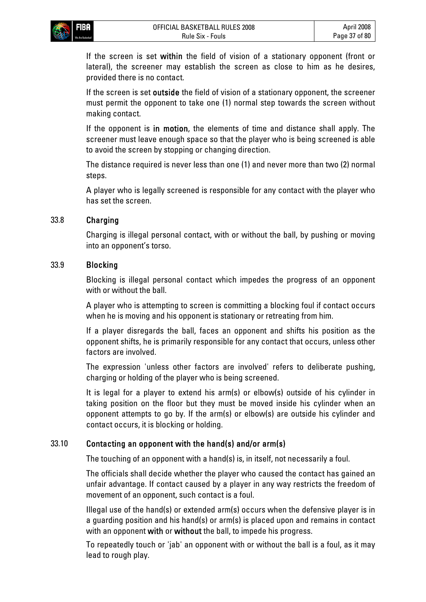If the screen is set within the field of vision of a stationary opponent (front or lateral), the screener may establish the screen as close to him as he desires, provided there is no contact.

If the screen is set outside the field of vision of a stationary opponent, the screener must permit the opponent to take one (1) normal step towards the screen without making contact.

If the opponent is in motion, the elements of time and distance shall apply. The screener must leave enough space so that the player who is being screened is able to avoid the screen by stopping or changing direction.

The distance required is never less than one (1) and never more than two (2) normal steps.

A player who is legally screened is responsible for any contact with the player who has set the screen.

## 33.8 Charging

Charging is illegal personal contact, with or without the ball, by pushing or moving into an opponent's torso.

#### 33.9 Blocking

Blocking is illegal personal contact which impedes the progress of an opponent with or without the ball.

A player who is attempting to screen is committing a blocking foul if contact occurs when he is moving and his opponent is stationary or retreating from him.

If a player disregards the ball, faces an opponent and shifts his position as the opponent shifts, he is primarily responsible for any contact that occurs, unless other factors are involved.

The expression 'unless other factors are involved' refers to deliberate pushing, charging or holding of the player who is being screened.

It is legal for a player to extend his arm(s) or elbow(s) outside of his cylinder in taking position on the floor but they must be moved inside his cylinder when an opponent attempts to go by. If the arm(s) or elbow(s) are outside his cylinder and contact occurs, it is blocking or holding.

## 33.10 Contacting an opponent with the hand(s) and/or arm(s)

The touching of an opponent with a hand(s) is, in itself, not necessarily a foul.

The officials shall decide whether the player who caused the contact has gained an unfair advantage. If contact caused by a player in any way restricts the freedom of movement of an opponent, such contact is a foul.

Illegal use of the hand(s) or extended arm(s) occurs when the defensive player is in a guarding position and his hand(s) or arm(s) is placed upon and remains in contact with an opponent with or without the ball, to impede his progress.

To repeatedly touch or 'jab' an opponent with or without the ball is a foul, as it may lead to rough play.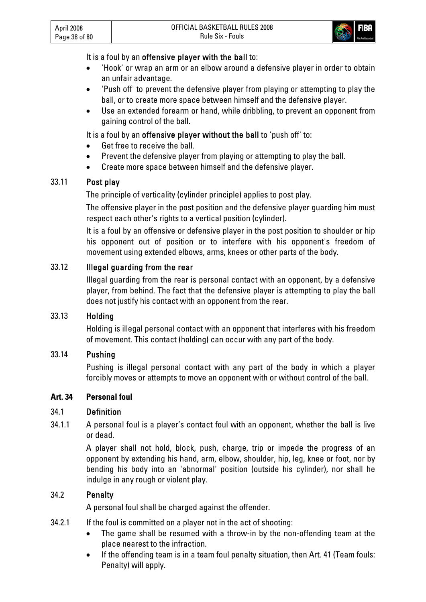

It is a foul by an offensive player with the ball to:

- 'Hook' or wrap an arm or an elbow around a defensive player in order to obtain an unfair advantage.
- 'Push off' to prevent the defensive player from playing or attempting to play the ball, or to create more space between himself and the defensive player.
- Use an extended forearm or hand, while dribbling, to prevent an opponent from gaining control of the ball.

It is a foul by an offensive player without the ball to 'push off' to:

- Get free to receive the ball.
- Prevent the defensive player from playing or attempting to play the ball.
- Create more space between himself and the defensive player.

## 33.11 Post play

The principle of verticality (cylinder principle) applies to post play.

The offensive player in the post position and the defensive player guarding him must respect each other's rights to a vertical position (cylinder).

It is a foul by an offensive or defensive player in the post position to shoulder or hip his opponent out of position or to interfere with his opponent's freedom of movement using extended elbows, arms, knees or other parts of the body.

## 33.12 Illegal guarding from the rear

Illegal guarding from the rear is personal contact with an opponent, by a defensive player, from behind. The fact that the defensive player is attempting to play the ball does not justify his contact with an opponent from the rear.

# 33.13 Holding

Holding is illegal personal contact with an opponent that interferes with his freedom of movement. This contact (holding) can occur with any part of the body.

# 33.14 Pushing

Pushing is illegal personal contact with any part of the body in which a player forcibly moves or attempts to move an opponent with or without control of the ball.

# **Art. 34 Personal foul**

# 34.1 Definition

34.1.1 A personal foul is a player's contact foul with an opponent, whether the ball is live or dead.

> A player shall not hold, block, push, charge, trip or impede the progress of an opponent by extending his hand, arm, elbow, shoulder, hip, leg, knee or foot, nor by bending his body into an 'abnormal' position (outside his cylinder), nor shall he indulge in any rough or violent play.

# 34.2 Penalty

A personal foul shall be charged against the offender.

- 34.2.1 If the foul is committed on a player not in the act of shooting:
	- The game shall be resumed with a throw-in by the non-offending team at the place nearest to the infraction.
	- If the offending team is in a team foul penalty situation, then [Art. 41 \(Team fouls:](#page-43-0)  [Penalty\)](#page-43-0) will apply.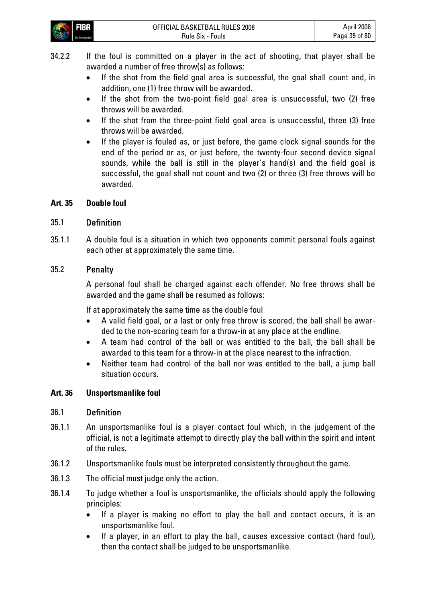- 34.2.2 If the foul is committed on a player in the act of shooting, that player shall be awarded a number of free throw(s) as follows:
	- If the shot from the field goal area is successful, the goal shall count and, in addition, one (1) free throw will be awarded.
	- If the shot from the two-point field goal area is unsuccessful, two (2) free throws will be awarded.
	- If the shot from the three-point field goal area is unsuccessful, three (3) free throws will be awarded.
	- If the player is fouled as, or just before, the game clock signal sounds for the end of the period or as, or just before, the twenty-four second device signal sounds, while the ball is still in the player's hand(s) and the field goal is successful, the goal shall not count and two (2) or three (3) free throws will be awarded.

## **Art. 35 Double foul**

#### 35.1 Definition

35.1.1 A double foul is a situation in which two opponents commit personal fouls against each other at approximately the same time.

#### 35.2 Penalty

A personal foul shall be charged against each offender. No free throws shall be awarded and the game shall be resumed as follows:

If at approximately the same time as the double foul

- A valid field goal, or a last or only free throw is scored, the ball shall be awarded to the non-scoring team for a throw-in at any place at the endline.
- A team had control of the ball or was entitled to the ball, the ball shall be awarded to this team for a throw-in at the place nearest to the infraction.
- Neither team had control of the ball nor was entitled to the ball, a jump ball situation occurs.

#### **Art. 36 Unsportsmanlike foul**

#### 36.1 Definition

- 36.1.1 An unsportsmanlike foul is a player contact foul which, in the judgement of the official, is not a legitimate attempt to directly play the ball within the spirit and intent of the rules.
- 36.1.2 Unsportsmanlike fouls must be interpreted consistently throughout the game.
- 36.1.3 The official must judge only the action.
- 36.1.4 To judge whether a foul is unsportsmanlike, the officials should apply the following principles:
	- If a player is making no effort to play the ball and contact occurs, it is an unsportsmanlike foul.
	- If a player, in an effort to play the ball, causes excessive contact (hard foul), then the contact shall be judged to be unsportsmanlike.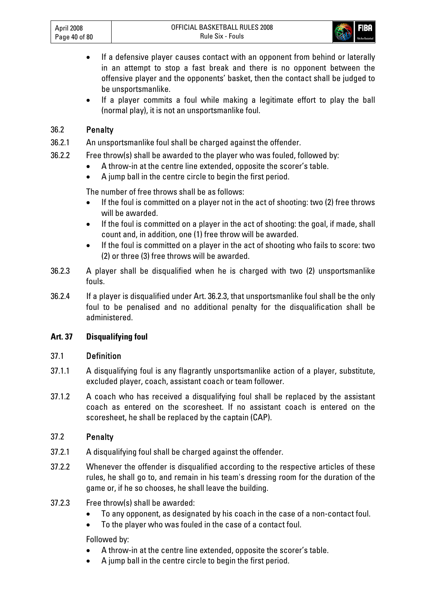

- If a defensive player causes contact with an opponent from behind or laterally in an attempt to stop a fast break and there is no opponent between the offensive player and the opponents' basket, then the contact shall be judged to be unsportsmanlike.
- If a player commits a foul while making a legitimate effort to play the ball (normal play), it is not an unsportsmanlike foul.

## 36.2 Penalty

- 36.2.1 An unsportsmanlike foul shall be charged against the offender.
- 36.2.2 Free throw(s) shall be awarded to the player who was fouled, followed by:
	- A throw-in at the centre line extended, opposite the scorer's table.
	- A jump ball in the centre circle to begin the first period.

The number of free throws shall be as follows:

- If the foul is committed on a player not in the act of shooting: two (2) free throws will be awarded.
- If the foul is committed on a player in the act of shooting: the goal, if made, shall count and, in addition, one (1) free throw will be awarded.
- If the foul is committed on a player in the act of shooting who fails to score: two (2) or three (3) free throws will be awarded.
- <span id="page-39-0"></span>36.2.3 A player shall be disqualified when he is charged with two (2) unsportsmanlike fouls.
- 36.2.4 If a player is disqualified under Art. [36.2.3](#page-39-0), that unsportsmanlike foul shall be the only foul to be penalised and no additional penalty for the disqualification shall be administered.

## **Art. 37 Disqualifying foul**

## 37.1 Definition

- 37.1.1 A disqualifying foul is any flagrantly unsportsmanlike action of a player, substitute, excluded player, coach, assistant coach or team follower.
- 37.1.2 A coach who has received a disqualifying foul shall be replaced by the assistant coach as entered on the scoresheet. If no assistant coach is entered on the scoresheet, he shall be replaced by the captain (CAP).

## 37.2 Penalty

- 37.2.1 A disqualifying foul shall be charged against the offender.
- 37.2.2 Whenever the offender is disqualified according to the respective articles of these rules, he shall go to, and remain in his team's dressing room for the duration of the game or, if he so chooses, he shall leave the building.
- 37.2.3 Free throw(s) shall be awarded:
	- To any opponent, as designated by his coach in the case of a non-contact foul.
	- To the player who was fouled in the case of a contact foul.

## Followed by:

- A throw-in at the centre line extended, opposite the scorer's table.
- A jump ball in the centre circle to begin the first period.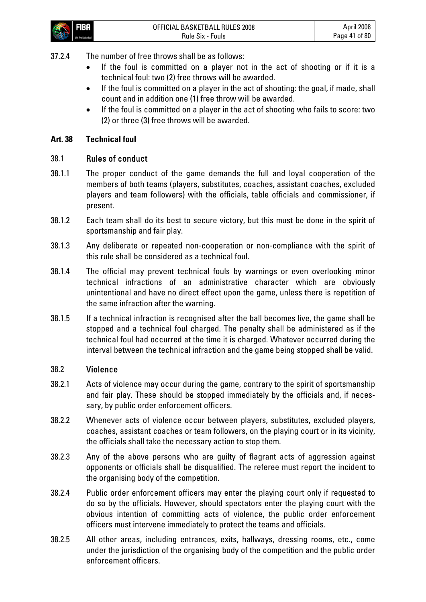

- 37.2.4 The number of free throws shall be as follows:
	- If the foul is committed on a player not in the act of shooting or if it is a technical foul: two (2) free throws will be awarded.
	- If the foul is committed on a player in the act of shooting: the goal, if made, shall count and in addition one (1) free throw will be awarded.
	- If the foul is committed on a player in the act of shooting who fails to score: two (2) or three (3) free throws will be awarded.

# **Art. 38 Technical foul**

# 38.1 Rules of conduct

- 38.1.1 The proper conduct of the game demands the full and loyal cooperation of the members of both teams (players, substitutes, coaches, assistant coaches, excluded players and team followers) with the officials, table officials and commissioner, if present.
- 38.1.2 Each team shall do its best to secure victory, but this must be done in the spirit of sportsmanship and fair play.
- 38.1.3 Any deliberate or repeated non-cooperation or non-compliance with the spirit of this rule shall be considered as a technical foul.
- 38.1.4 The official may prevent technical fouls by warnings or even overlooking minor technical infractions of an administrative character which are obviously unintentional and have no direct effect upon the game, unless there is repetition of the same infraction after the warning.
- 38.1.5 If a technical infraction is recognised after the ball becomes live, the game shall be stopped and a technical foul charged. The penalty shall be administered as if the technical foul had occurred at the time it is charged. Whatever occurred during the interval between the technical infraction and the game being stopped shall be valid.

# 38.2 Violence

- 38.2.1 Acts of violence may occur during the game, contrary to the spirit of sportsmanship and fair play. These should be stopped immediately by the officials and, if necessary, by public order enforcement officers.
- 38.2.2 Whenever acts of violence occur between players, substitutes, excluded players, coaches, assistant coaches or team followers, on the playing court or in its vicinity, the officials shall take the necessary action to stop them.
- 38.2.3 Any of the above persons who are guilty of flagrant acts of aggression against opponents or officials shall be disqualified. The referee must report the incident to the organising body of the competition.
- 38.2.4 Public order enforcement officers may enter the playing court only if requested to do so by the officials. However, should spectators enter the playing court with the obvious intention of committing acts of violence, the public order enforcement officers must intervene immediately to protect the teams and officials.
- 38.2.5 All other areas, including entrances, exits, hallways, dressing rooms, etc., come under the jurisdiction of the organising body of the competition and the public order enforcement officers.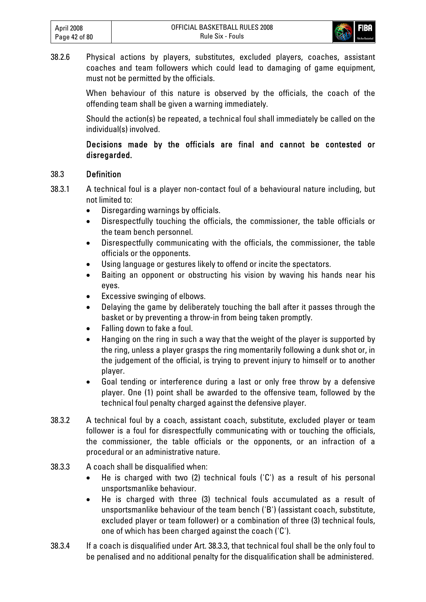

38.2.6 Physical actions by players, substitutes, excluded players, coaches, assistant coaches and team followers which could lead to damaging of game equipment, must not be permitted by the officials.

> When behaviour of this nature is observed by the officials, the coach of the offending team shall be given a warning immediately.

> Should the action(s) be repeated, a technical foul shall immediately be called on the individual(s) involved.

## Decisions made by the officials are final and cannot be contested or disregarded.

#### 38.3 Definition

- 38.3.1 A technical foul is a player non-contact foul of a behavioural nature including, but not limited to:
	- Disregarding warnings by officials.
	- Disrespectfully touching the officials, the commissioner, the table officials or the team bench personnel.
	- Disrespectfully communicating with the officials, the commissioner, the table officials or the opponents.
	- Using language or gestures likely to offend or incite the spectators.
	- Baiting an opponent or obstructing his vision by waving his hands near his eyes.
	- Excessive swinging of elbows.
	- Delaying the game by deliberately touching the ball after it passes through the basket or by preventing a throw-in from being taken promptly.
	- Falling down to fake a foul.
	- Hanging on the ring in such a way that the weight of the player is supported by the ring, unless a player grasps the ring momentarily following a dunk shot or, in the judgement of the official, is trying to prevent injury to himself or to another player.
	- Goal tending or interference during a last or only free throw by a defensive player. One (1) point shall be awarded to the offensive team, followed by the technical foul penalty charged against the defensive player.
- 38.3.2 A technical foul by a coach, assistant coach, substitute, excluded player or team follower is a foul for disrespectfully communicating with or touching the officials, the commissioner, the table officials or the opponents, or an infraction of a procedural or an administrative nature.
- <span id="page-41-0"></span>38.3.3 A coach shall be disqualified when:
	- He is charged with two (2) technical fouls ('C') as a result of his personal unsportsmanlike behaviour.
	- He is charged with three (3) technical fouls accumulated as a result of unsportsmanlike behaviour of the team bench ('B') (assistant coach, substitute, excluded player or team follower) or a combination of three (3) technical fouls, one of which has been charged against the coach ('C').
- 38.3.4 If a coach is disqualified under Art. [38.3.3](#page-41-0), that technical foul shall be the only foul to be penalised and no additional penalty for the disqualification shall be administered.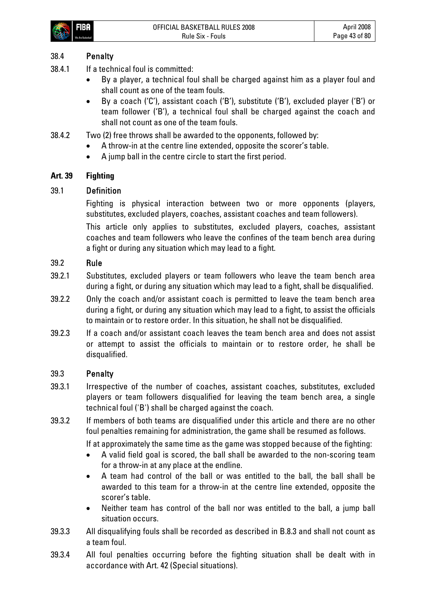

#### 38.4 Penalty

- 38.4.1 If a technical foul is committed:
	- By a player, a technical foul shall be charged against him as a player foul and shall count as one of the team fouls.
	- By a coach ('C'), assistant coach ('B'), substitute ('B'), excluded player ('B') or team follower ('B'), a technical foul shall be charged against the coach and shall not count as one of the team fouls.
- 38.4.2 Two (2) free throws shall be awarded to the opponents, followed by:
	- A throw-in at the centre line extended, opposite the scorer's table.
	- A jump ball in the centre circle to start the first period.

#### <span id="page-42-0"></span>**Art. 39 Fighting**

#### 39.1 Definition

Fighting is physical interaction between two or more opponents (players, substitutes, excluded players, coaches, assistant coaches and team followers).

This article only applies to substitutes, excluded players, coaches, assistant coaches and team followers who leave the confines of the team bench area during a fight or during any situation which may lead to a fight.

#### 39.2 Rule

- 39.2.1 Substitutes, excluded players or team followers who leave the team bench area during a fight, or during any situation which may lead to a fight, shall be disqualified.
- 39.2.2 Only the coach and/or assistant coach is permitted to leave the team bench area during a fight, or during any situation which may lead to a fight, to assist the officials to maintain or to restore order. In this situation, he shall not be disqualified.
- 39.2.3 If a coach and/or assistant coach leaves the team bench area and does not assist or attempt to assist the officials to maintain or to restore order, he shall be disqualified.

#### 39.3 Penalty

- 39.3.1 Irrespective of the number of coaches, assistant coaches, substitutes, excluded players or team followers disqualified for leaving the team bench area, a single technical foul ('B') shall be charged against the coach.
- 39.3.2 If members of both teams are disqualified under this article and there are no other foul penalties remaining for administration, the game shall be resumed as follows.

If at approximately the same time as the game was stopped because of the fighting:

- A valid field goal is scored, the ball shall be awarded to the non-scoring team for a throw-in at any place at the endline.
- A team had control of the ball or was entitled to the ball, the ball shall be awarded to this team for a throw-in at the centre line extended, opposite the scorer's table.
- Neither team has control of the ball nor was entitled to the ball, a jump ball situation occurs.
- 39.3.3 All disqualifying fouls shall be recorded as described in B.8.3 and shall not count as a team foul.
- 39.3.4 All foul penalties occurring before the fighting situation shall be dealt with in accordance with [Art. 42](#page-43-1) [\(Special situations](#page-43-1)).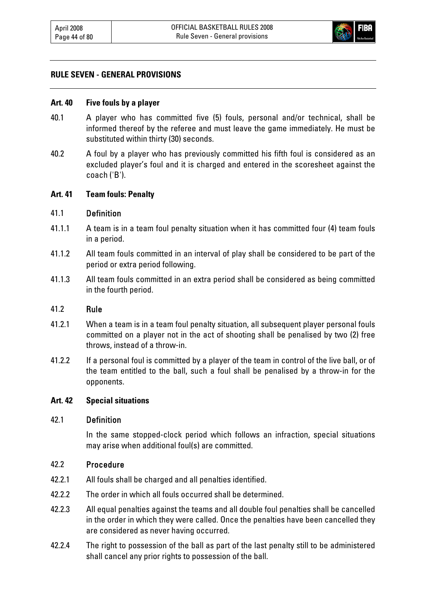

#### **RULE SEVEN - GENERAL PROVISIONS**

#### **Art. 40 Five fouls by a player**

- 40.1 A player who has committed five (5) fouls, personal and/or technical, shall be informed thereof by the referee and must leave the game immediately. He must be substituted within thirty (30) seconds.
- 40.2 A foul by a player who has previously committed his fifth foul is considered as an excluded player's foul and it is charged and entered in the scoresheet against the coach ('B').

#### <span id="page-43-0"></span>**Art. 41 Team fouls: Penalty**

#### 41.1 Definition

- 41.1.1 A team is in a team foul penalty situation when it has committed four (4) team fouls in a period.
- 41.1.2 All team fouls committed in an interval of play shall be considered to be part of the period or extra period following.
- 41.1.3 All team fouls committed in an extra period shall be considered as being committed in the fourth period.

#### 41.2 Rule

- 41.2.1 When a team is in a team foul penalty situation, all subsequent player personal fouls committed on a player not in the act of shooting shall be penalised by two (2) free throws, instead of a throw-in.
- 41.2.2 If a personal foul is committed by a player of the team in control of the live ball, or of the team entitled to the ball, such a foul shall be penalised by a throw-in for the opponents.

#### <span id="page-43-1"></span>**Art. 42 Special situations**

#### 42.1 Definition

In the same stopped-clock period which follows an infraction, special situations may arise when additional foul(s) are committed.

#### 42.2 Procedure

- 42.2.1 All fouls shall be charged and all penalties identified.
- 42.2.2 The order in which all fouls occurred shall be determined.
- 42.2.3 All equal penalties against the teams and all double foul penalties shall be cancelled in the order in which they were called. Once the penalties have been cancelled they are considered as never having occurred.
- 42.2.4 The right to possession of the ball as part of the last penalty still to be administered shall cancel any prior rights to possession of the ball.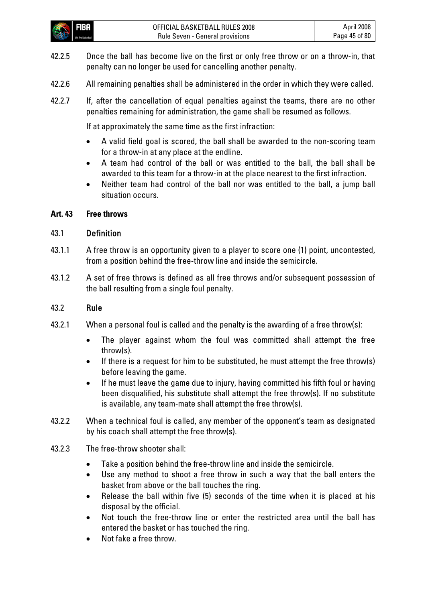

- 42.2.5 Once the ball has become live on the first or only free throw or on a throw-in, that penalty can no longer be used for cancelling another penalty.
- 42.2.6 All remaining penalties shall be administered in the order in which they were called.
- 42.2.7 If, after the cancellation of equal penalties against the teams, there are no other penalties remaining for administration, the game shall be resumed as follows.

If at approximately the same time as the first infraction:

- A valid field goal is scored, the ball shall be awarded to the non-scoring team for a throw-in at any place at the endline.
- A team had control of the ball or was entitled to the ball, the ball shall be awarded to this team for a throw-in at the place nearest to the first infraction.
- Neither team had control of the ball nor was entitled to the ball, a jump ball situation occurs.

#### **Art. 43 Free throws**

#### 43.1 Definition

- 43.1.1 A free throw is an opportunity given to a player to score one (1) point, uncontested, from a position behind the free-throw line and inside the semicircle.
- 43.1.2 A set of free throws is defined as all free throws and/or subsequent possession of the ball resulting from a single foul penalty.

#### 43.2 Rule

- 43.2.1 When a personal foul is called and the penalty is the awarding of a free throw(s):
	- The player against whom the foul was committed shall attempt the free throw(s).
	- If there is a request for him to be substituted, he must attempt the free throw(s) before leaving the game.
	- If he must leave the game due to injury, having committed his fifth foul or having been disqualified, his substitute shall attempt the free throw(s). If no substitute is available, any team-mate shall attempt the free throw(s).
- 43.2.2 When a technical foul is called, any member of the opponent's team as designated by his coach shall attempt the free throw(s).
- <span id="page-44-0"></span>43.2.3 The free-throw shooter shall:
	- Take a position behind the free-throw line and inside the semicircle.
	- Use any method to shoot a free throw in such a way that the ball enters the basket from above or the ball touches the ring.
	- Release the ball within five (5) seconds of the time when it is placed at his disposal by the official.
	- Not touch the free-throw line or enter the restricted area until the ball has entered the basket or has touched the ring.
	- Not fake a free throw.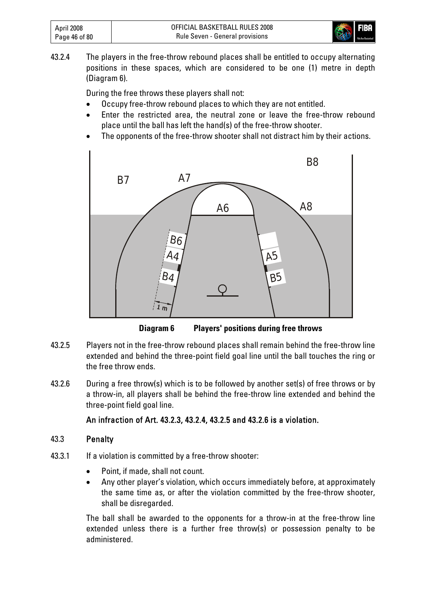| April 2008    | OFFICIAL BASKETBALL RULES 2008         | <b>AND FIBA</b> |  |
|---------------|----------------------------------------|-----------------|--|
| Page 46 of 80 | <b>Rule Seven - General provisions</b> |                 |  |

<span id="page-45-1"></span>43.2.4 The players in the free-throw rebound places shall be entitled to occupy alternating positions in these spaces, which are considered to be one (1) metre in depth ([Diagram 6](#page-45-0)).

During the free throws these players shall not:

- Occupy free-throw rebound places to which they are not entitled.
- Enter the restricted area, the neutral zone or leave the free-throw rebound place until the ball has left the hand(s) of the free-throw shooter.
- The opponents of the free-throw shooter shall not distract him by their actions.



**Diagram 6 Players' positions during free throws** 

- <span id="page-45-2"></span><span id="page-45-0"></span>43.2.5 Players not in the free-throw rebound places shall remain behind the free-throw line extended and behind the three-point field goal line until the ball touches the ring or the free throw ends.
- <span id="page-45-3"></span>43.2.6 During a free throw(s) which is to be followed by another set(s) of free throws or by a throw-in, all players shall be behind the free-throw line extended and behind the three-point field goal line.

# An infraction of Art. [43.2.3,](#page-44-0) [43.2.4](#page-45-1), [43.2.5](#page-45-2) and [43.2.6](#page-45-3) is a violation.

## 43.3 Penalty

- 43.3.1 If a violation is committed by a free-throw shooter:
	- Point, if made, shall not count.
	- Any other player's violation, which occurs immediately before, at approximately the same time as, or after the violation committed by the free-throw shooter, shall be disregarded.

The ball shall be awarded to the opponents for a throw-in at the free-throw line extended unless there is a further free throw(s) or possession penalty to be administered.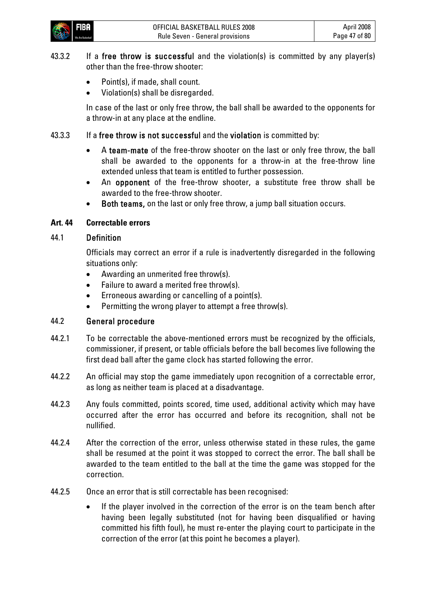

#### 43.3.2 If a free throw is successful and the violation(s) is committed by any player(s) other than the free-throw shooter:

- Point(s), if made, shall count.
- Violation(s) shall be disregarded.

In case of the last or only free throw, the ball shall be awarded to the opponents for a throw-in at any place at the endline.

#### 43.3.3 If a free throw is not successful and the violation is committed by:

- A team-mate of the free-throw shooter on the last or only free throw, the ball shall be awarded to the opponents for a throw-in at the free-throw line extended unless that team is entitled to further possession.
- An opponent of the free-throw shooter, a substitute free throw shall be awarded to the free-throw shooter.
- Both teams, on the last or only free throw, a jump ball situation occurs.

#### **Art. 44 Correctable errors**

#### 44.1 Definition

Officials may correct an error if a rule is inadvertently disregarded in the following situations only:

- Awarding an unmerited free throw(s).
- Failure to award a merited free throw(s).
- Erroneous awarding or cancelling of a point(s).
- Permitting the wrong player to attempt a free throw(s).

#### 44.2 General procedure

- 44.2.1 To be correctable the above-mentioned errors must be recognized by the officials, commissioner, if present, or table officials before the ball becomes live following the first dead ball after the game clock has started following the error.
- 44.2.2 An official may stop the game immediately upon recognition of a correctable error, as long as neither team is placed at a disadvantage.
- 44.2.3 Any fouls committed, points scored, time used, additional activity which may have occurred after the error has occurred and before its recognition, shall not be nullified.
- 44.2.4 After the correction of the error, unless otherwise stated in these rules, the game shall be resumed at the point it was stopped to correct the error. The ball shall be awarded to the team entitled to the ball at the time the game was stopped for the correction.
- 44.2.5 Once an error that is still correctable has been recognised:
	- If the player involved in the correction of the error is on the team bench after having been legally substituted (not for having been disqualified or having committed his fifth foul), he must re-enter the playing court to participate in the correction of the error (at this point he becomes a player).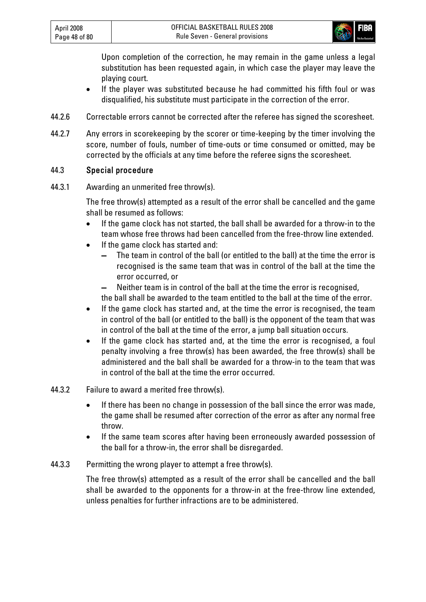

Upon completion of the correction, he may remain in the game unless a legal substitution has been requested again, in which case the player may leave the playing court.

- If the player was substituted because he had committed his fifth foul or was disqualified, his substitute must participate in the correction of the error.
- 44.2.6 Correctable errors cannot be corrected after the referee has signed the scoresheet.
- 44.2.7 Any errors in scorekeeping by the scorer or time-keeping by the timer involving the score, number of fouls, number of time-outs or time consumed or omitted, may be corrected by the officials at any time before the referee signs the scoresheet.

#### 44.3 Special procedure

44.3.1 Awarding an unmerited free throw(s).

The free throw(s) attempted as a result of the error shall be cancelled and the game shall be resumed as follows:

- If the game clock has not started, the ball shall be awarded for a throw-in to the team whose free throws had been cancelled from the free-throw line extended.
- If the game clock has started and:
	- The team in control of the ball (or entitled to the ball) at the time the error is recognised is the same team that was in control of the ball at the time the error occurred, or
	- Neither team is in control of the ball at the time the error is recognised,
	- the ball shall be awarded to the team entitled to the ball at the time of the error.
- If the game clock has started and, at the time the error is recognised, the team in control of the ball (or entitled to the ball) is the opponent of the team that was in control of the ball at the time of the error, a jump ball situation occurs.
- If the game clock has started and, at the time the error is recognised, a foul penalty involving a free throw(s) has been awarded, the free throw(s) shall be administered and the ball shall be awarded for a throw-in to the team that was in control of the ball at the time the error occurred.
- 44.3.2 Failure to award a merited free throw(s).
	- If there has been no change in possession of the ball since the error was made, the game shall be resumed after correction of the error as after any normal free throw.
	- If the same team scores after having been erroneously awarded possession of the ball for a throw-in, the error shall be disregarded.
- 44.3.3 Permitting the wrong player to attempt a free throw(s).

The free throw(s) attempted as a result of the error shall be cancelled and the ball shall be awarded to the opponents for a throw-in at the free-throw line extended, unless penalties for further infractions are to be administered.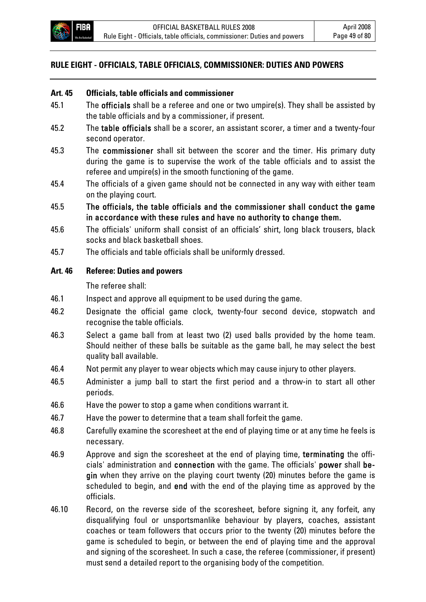

#### **RULE EIGHT - OFFICIALS, TABLE OFFICIALS, COMMISSIONER: DUTIES AND POWERS**

#### **Art. 45 Officials, table officials and commissioner**

- 45.1 The **officials** shall be a referee and one or two umpire(s). They shall be assisted by the table officials and by a commissioner, if present.
- 45.2 The table officials shall be a scorer, an assistant scorer, a timer and a twenty-four second operator.
- 45.3 The commissioner shall sit between the scorer and the timer. His primary duty during the game is to supervise the work of the table officials and to assist the referee and umpire(s) in the smooth functioning of the game.
- 45.4 The officials of a given game should not be connected in any way with either team on the playing court.
- 45.5 The officials, the table officials and the commissioner shall conduct the game in accordance with these rules and have no authority to change them.
- 45.6 The officials' uniform shall consist of an officials' shirt, long black trousers, black socks and black basketball shoes.
- 45.7 The officials and table officials shall be uniformly dressed.

#### **Art. 46 Referee: Duties and powers**

The referee shall:

- 46.1 Inspect and approve all equipment to be used during the game.
- 46.2 Designate the official game clock, twenty-four second device, stopwatch and recognise the table officials.
- 46.3 Select a game ball from at least two (2) used balls provided by the home team. Should neither of these balls be suitable as the game ball, he may select the best quality ball available.
- 46.4 Not permit any player to wear objects which may cause injury to other players.
- 46.5 Administer a jump ball to start the first period and a throw-in to start all other periods.
- 46.6 Have the power to stop a game when conditions warrant it.
- 46.7 Have the power to determine that a team shall forfeit the game.
- 46.8 Carefully examine the scoresheet at the end of playing time or at any time he feels is necessary.
- 46.9 Approve and sign the scoresheet at the end of playing time, terminating the officials' administration and connection with the game. The officials' power shall begin when they arrive on the playing court twenty (20) minutes before the game is scheduled to begin, and end with the end of the playing time as approved by the officials.
- 46.10 Record, on the reverse side of the scoresheet, before signing it, any forfeit, any disqualifying foul or unsportsmanlike behaviour by players, coaches, assistant coaches or team followers that occurs prior to the twenty (20) minutes before the game is scheduled to begin, or between the end of playing time and the approval and signing of the scoresheet. In such a case, the referee (commissioner, if present) must send a detailed report to the organising body of the competition.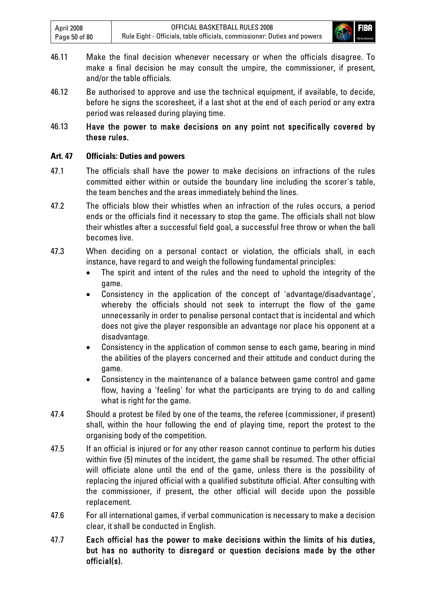| April 2008    | OFFICIAL BASKETBALL RULES 2008                                           | AD. |  |
|---------------|--------------------------------------------------------------------------|-----|--|
| Page 50 of 80 | Rule Eight - Officials, table officials, commissioner: Duties and powers |     |  |

- 46.11 Make the final decision whenever necessary or when the officials disagree. To make a final decision he may consult the umpire, the commissioner, if present, and/or the table officials.
- 46.12 Be authorised to approve and use the technical equipment, if available, to decide, before he signs the scoresheet, if a last shot at the end of each period or any extra period was released during playing time.

#### 46.13 Have the power to make decisions on any point not specifically covered by these rules.

#### **Art. 47 Officials: Duties and powers**

- 47.1 The officials shall have the power to make decisions on infractions of the rules committed either within or outside the boundary line including the scorer's table, the team benches and the areas immediately behind the lines.
- 47.2 The officials blow their whistles when an infraction of the rules occurs, a period ends or the officials find it necessary to stop the game. The officials shall not blow their whistles after a successful field goal, a successful free throw or when the ball becomes live.
- 47.3 When deciding on a personal contact or violation, the officials shall, in each instance, have regard to and weigh the following fundamental principles:
	- The spirit and intent of the rules and the need to uphold the integrity of the game.
	- Consistency in the application of the concept of 'advantage/disadvantage', whereby the officials should not seek to interrupt the flow of the game unnecessarily in order to penalise personal contact that is incidental and which does not give the player responsible an advantage nor place his opponent at a disadvantage.
	- Consistency in the application of common sense to each game, bearing in mind the abilities of the players concerned and their attitude and conduct during the game.
	- Consistency in the maintenance of a balance between game control and game flow, having a 'feeling' for what the participants are trying to do and calling what is right for the game.
- 47.4 Should a protest be filed by one of the teams, the referee (commissioner, if present) shall, within the hour following the end of playing time, report the protest to the organising body of the competition.
- 47.5 If an official is injured or for any other reason cannot continue to perform his duties within five (5) minutes of the incident, the game shall be resumed. The other official will officiate alone until the end of the game, unless there is the possibility of replacing the injured official with a qualified substitute official. After consulting with the commissioner, if present, the other official will decide upon the possible replacement.
- 47.6 For all international games, if verbal communication is necessary to make a decision clear, it shall be conducted in English.
- 47.7 Each official has the power to make decisions within the limits of his duties, but has no authority to disregard or question decisions made by the other official(s).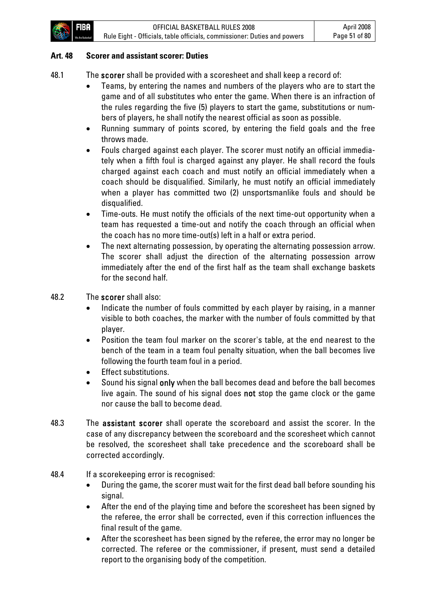

## **Art. 48 Scorer and assistant scorer: Duties**

- 48.1 The scorer shall be provided with a scoresheet and shall keep a record of:
	- Teams, by entering the names and numbers of the players who are to start the game and of all substitutes who enter the game. When there is an infraction of the rules regarding the five (5) players to start the game, substitutions or numbers of players, he shall notify the nearest official as soon as possible.
	- Running summary of points scored, by entering the field goals and the free throws made.
	- Fouls charged against each player. The scorer must notify an official immediately when a fifth foul is charged against any player. He shall record the fouls charged against each coach and must notify an official immediately when a coach should be disqualified. Similarly, he must notify an official immediately when a player has committed two (2) unsportsmanlike fouls and should be disqualified.
	- Time-outs. He must notify the officials of the next time-out opportunity when a team has requested a time-out and notify the coach through an official when the coach has no more time-out(s) left in a half or extra period.
	- The next alternating possession, by operating the alternating possession arrow. The scorer shall adjust the direction of the alternating possession arrow immediately after the end of the first half as the team shall exchange baskets for the second half.
- 48.2 The scorer shall also:
	- Indicate the number of fouls committed by each player by raising, in a manner visible to both coaches, the marker with the number of fouls committed by that player.
	- Position the team foul marker on the scorer's table, at the end nearest to the bench of the team in a team foul penalty situation, when the ball becomes live following the fourth team foul in a period.
	- **Effect substitutions.**
	- Sound his signal only when the ball becomes dead and before the ball becomes live again. The sound of his signal does not stop the game clock or the game nor cause the ball to become dead.
- 48.3 The assistant scorer shall operate the scoreboard and assist the scorer. In the case of any discrepancy between the scoreboard and the scoresheet which cannot be resolved, the scoresheet shall take precedence and the scoreboard shall be corrected accordingly.
- 48.4 If a scorekeeping error is recognised:
	- During the game, the scorer must wait for the first dead ball before sounding his signal.
	- After the end of the playing time and before the scoresheet has been signed by the referee, the error shall be corrected, even if this correction influences the final result of the game.
	- After the scoresheet has been signed by the referee, the error may no longer be corrected. The referee or the commissioner, if present, must send a detailed report to the organising body of the competition.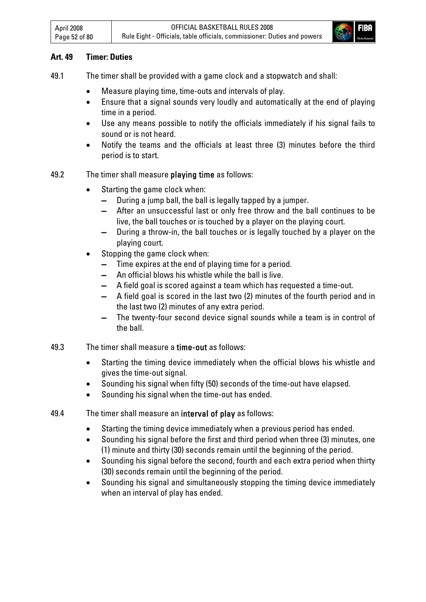

# **Art. 49 Timer: Duties**

- 49.1 The timer shall be provided with a game clock and a stopwatch and shall:
	- Measure playing time, time-outs and intervals of play.
	- Ensure that a signal sounds very loudly and automatically at the end of playing time in a period.
	- Use any means possible to notify the officials immediately if his signal fails to sound or is not heard.
	- Notify the teams and the officials at least three (3) minutes before the third period is to start.

# 49.2 The timer shall measure playing time as follows:

- Starting the game clock when:
	- During a jump ball, the ball is legally tapped by a jumper.
	- ▬ After an unsuccessful last or only free throw and the ball continues to be live, the ball touches or is touched by a player on the playing court.
	- ▬ During a throw-in, the ball touches or is legally touched by a player on the playing court.
- Stopping the game clock when:
	- Time expires at the end of playing time for a period.
	- An official blows his whistle while the ball is live.
	- $-$  A field goal is scored against a team which has requested a time-out.
	- ▬ A field goal is scored in the last two (2) minutes of the fourth period and in the last two (2) minutes of any extra period.
	- $-$  The twenty-four second device signal sounds while a team is in control of the ball.
- 49.3 The timer shall measure a time-out as follows:
	- Starting the timing device immediately when the official blows his whistle and gives the time-out signal.
	- Sounding his signal when fifty (50) seconds of the time-out have elapsed.
	- Sounding his signal when the time-out has ended.
- 49.4 The timer shall measure an interval of play as follows:
	- Starting the timing device immediately when a previous period has ended.
	- Sounding his signal before the first and third period when three (3) minutes, one (1) minute and thirty (30) seconds remain until the beginning of the period.
	- Sounding his signal before the second, fourth and each extra period when thirty (30) seconds remain until the beginning of the period.
	- Sounding his signal and simultaneously stopping the timing device immediately when an interval of play has ended.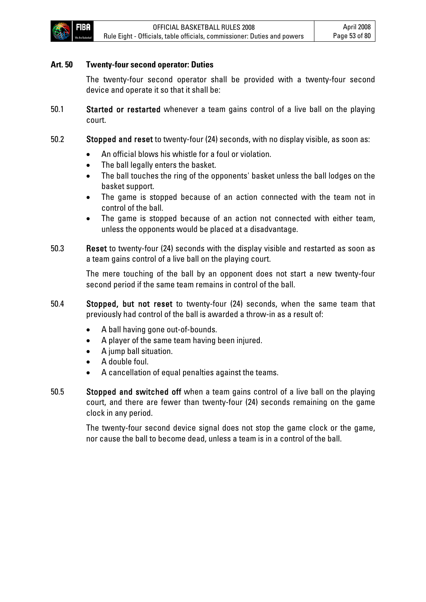

## **Art. 50 Twenty-four second operator: Duties**

The twenty-four second operator shall be provided with a twenty-four second device and operate it so that it shall be:

- 50.1 Started or restarted whenever a team gains control of a live ball on the playing court.
- 50.2 Stopped and reset to twenty-four (24) seconds, with no display visible, as soon as:
	- An official blows his whistle for a foul or violation.
	- The ball legally enters the basket.
	- The ball touches the ring of the opponents' basket unless the ball lodges on the basket support.
	- The game is stopped because of an action connected with the team not in control of the ball.
	- The game is stopped because of an action not connected with either team, unless the opponents would be placed at a disadvantage.
- 50.3 Reset to twenty-four (24) seconds with the display visible and restarted as soon as a team gains control of a live ball on the playing court.

The mere touching of the ball by an opponent does not start a new twenty-four second period if the same team remains in control of the ball.

- 50.4 Stopped, but not reset to twenty-four (24) seconds, when the same team that previously had control of the ball is awarded a throw-in as a result of:
	- A ball having gone out-of-bounds.
	- A player of the same team having been injured.
	- A jump ball situation.
	- A double foul.
	- A cancellation of equal penalties against the teams.
- 50.5 Stopped and switched off when a team gains control of a live ball on the playing court, and there are fewer than twenty-four (24) seconds remaining on the game clock in any period.

The twenty-four second device signal does not stop the game clock or the game, nor cause the ball to become dead, unless a team is in a control of the ball.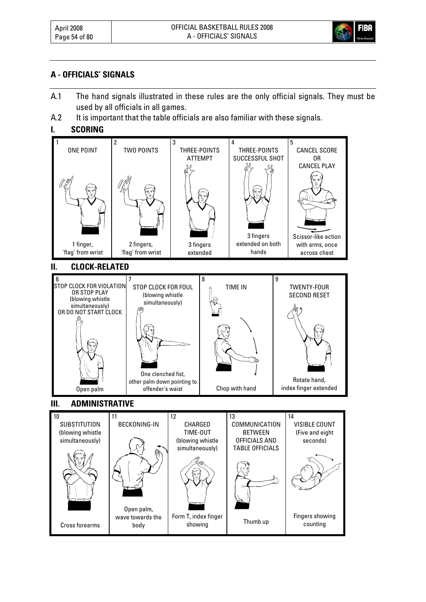

## **A - OFFICIALS' SIGNALS**

- A.1 The hand signals illustrated in these rules are the only official signals. They must be used by all officials in all games.
- A.2 It is important that the table officials are also familiar with these signals.
- **I. SCORING**

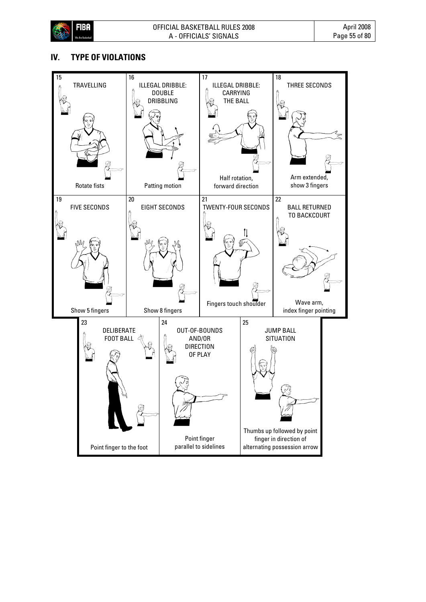

#### **IV. TYPE OF VIOLATIONS**

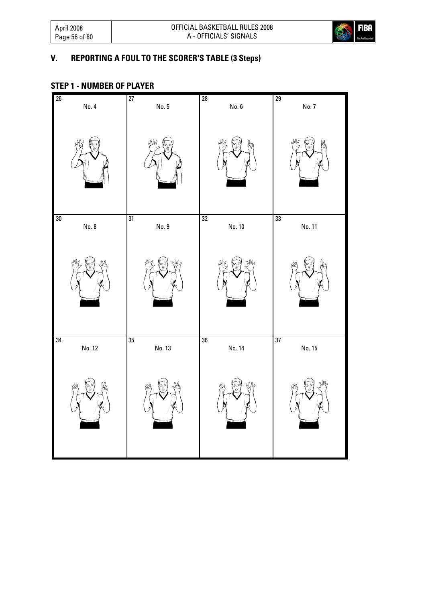

# **V. REPORTING A FOUL TO THE SCORER'S TABLE (3 Steps)**

# **STEP 1 - NUMBER OF PLAYER**

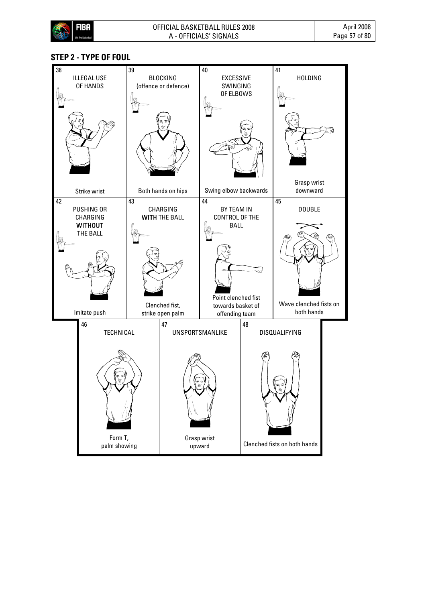

#### **STEP 2 - TYPE OF FOUL**

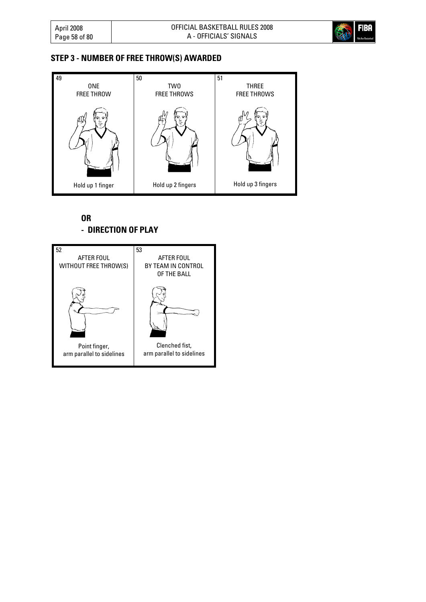

## **STEP 3 - NUMBER OF FREE THROW(S) AWARDED**



# **OR - DIRECTION OF PLAY**

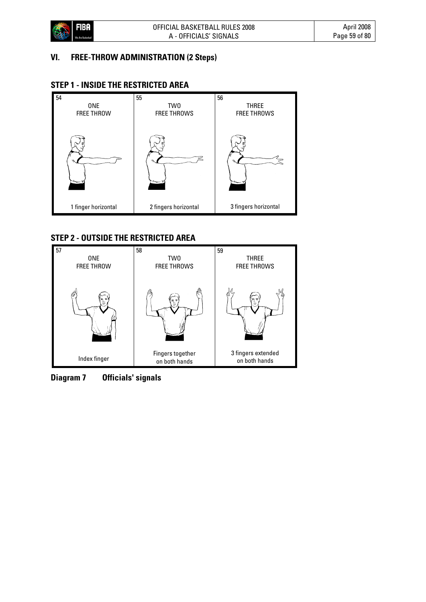

# **VI. FREE-THROW ADMINISTRATION (2 Steps)**

# **STEP 1 - INSIDE THE RESTRICTED AREA**



# **STEP 2 - OUTSIDE THE RESTRICTED AREA**



**Diagram 7 Officials' signals**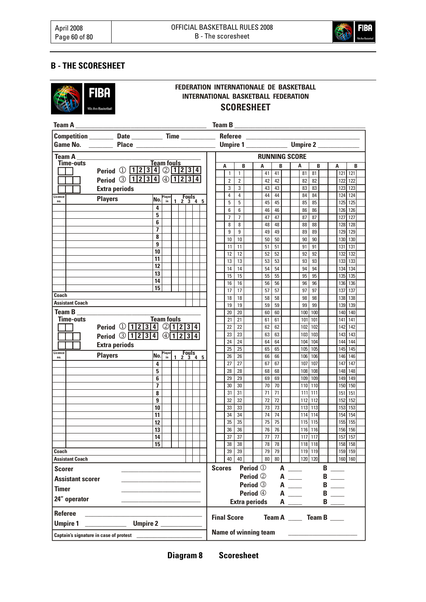

## **B - THE SCORESHEET**

--

<span id="page-59-0"></span>

| <b>FIBA</b><br>We Are Basketball                                        | FEDERATION INTERNATIONALE DE BASKETBALL<br><b>INTERNATIONAL BASKETBALL FEDERATION</b>                                                                                                                                                                                                                                                                                                                                                            |               |                     |                     | <b>SCORESHEET</b>                              |          |                                              |                      |                      |                  |
|-------------------------------------------------------------------------|--------------------------------------------------------------------------------------------------------------------------------------------------------------------------------------------------------------------------------------------------------------------------------------------------------------------------------------------------------------------------------------------------------------------------------------------------|---------------|---------------------|---------------------|------------------------------------------------|----------|----------------------------------------------|----------------------|----------------------|------------------|
| <b>Team A</b>                                                           |                                                                                                                                                                                                                                                                                                                                                                                                                                                  |               |                     |                     |                                                |          | Team B                                       |                      |                      |                  |
| Competition ________ Date _________ Time __________ Referee ___________ |                                                                                                                                                                                                                                                                                                                                                                                                                                                  |               |                     |                     |                                                |          |                                              |                      |                      |                  |
| Game No. ______                                                         |                                                                                                                                                                                                                                                                                                                                                                                                                                                  |               |                     |                     |                                                |          |                                              |                      |                      |                  |
|                                                                         |                                                                                                                                                                                                                                                                                                                                                                                                                                                  |               |                     |                     |                                                |          | <b>RUNNING SCORE</b>                         |                      |                      |                  |
| <b>Team A</b><br><b>Time-outs</b>                                       | <b>Team fouls</b>                                                                                                                                                                                                                                                                                                                                                                                                                                |               | A                   | B                   |                                                | В        | Α                                            | B                    | A                    | B                |
|                                                                         | Period 1234 21234                                                                                                                                                                                                                                                                                                                                                                                                                                |               | $\overline{1}$      | $\mathbf{1}$        | A<br>41 <sup>1</sup>                           | 41       | 81                                           | 81                   | $121$ $121$          |                  |
|                                                                         | Period $\textcircled{3}$ 1234 $\textcircled{4}$ 1234                                                                                                                                                                                                                                                                                                                                                                                             |               | $\overline{2}$      | $\overline{2}$      | 42                                             | 42       | 82                                           | 82                   | 122 122              |                  |
| <b>Extra periods</b>                                                    |                                                                                                                                                                                                                                                                                                                                                                                                                                                  |               | 3                   | 3                   | 43                                             | 43       | 83                                           | 83                   | 123 123              |                  |
| Licence<br><b>Players</b><br>no.                                        | Player<br>$\begin{array}{@{}c@{\hspace{1em}}c@{\hspace{1em}}c@{\hspace{1em}}c@{\hspace{1em}}c@{\hspace{1em}}c@{\hspace{1em}}c@{\hspace{1em}}c@{\hspace{1em}}c@{\hspace{1em}}c@{\hspace{1em}}c@{\hspace{1em}}c@{\hspace{1em}}c@{\hspace{1em}}c@{\hspace{1em}}c@{\hspace{1em}}c@{\hspace{1em}}c@{\hspace{1em}}c@{\hspace{1em}}c@{\hspace{1em}}c@{\hspace{1em}}c@{\hspace{1em}}c@{\hspace{1em}}c@{\hspace{1em}}c@{\hspace{$<br>No.<br>$\mathbf{in}$ |               | $\overline{4}$<br>5 | $\overline{4}$<br>5 | 44<br>45                                       | 44<br>45 | 84<br>85                                     | 84<br>85             | 124<br>125           | 124<br>125       |
|                                                                         | 4                                                                                                                                                                                                                                                                                                                                                                                                                                                |               | 6                   | 6                   | 46                                             | 46       | 86                                           | 86                   | 126                  | 126              |
|                                                                         | 5                                                                                                                                                                                                                                                                                                                                                                                                                                                |               | $\overline{7}$      | $\overline{7}$      | 47                                             | 47       | 87                                           | 87                   | 127                  | 127              |
|                                                                         | 6<br>$\overline{\mathbf{z}}$                                                                                                                                                                                                                                                                                                                                                                                                                     |               | 8                   | 8                   | 48                                             | 48       | 88                                           | 88                   | 128                  | 128              |
|                                                                         | 8                                                                                                                                                                                                                                                                                                                                                                                                                                                |               | 9                   | 9                   | 49                                             | 49       | 89                                           | 89                   | 129                  | 129              |
|                                                                         | 9                                                                                                                                                                                                                                                                                                                                                                                                                                                |               | 10<br>11            | 10<br>11            | 50<br>51                                       | 50<br>51 | 90<br>91                                     | 90<br>91             | 130 130<br>131       | $\overline{131}$ |
|                                                                         | 10                                                                                                                                                                                                                                                                                                                                                                                                                                               |               | 12                  | 12                  | 52                                             | 52       | 92                                           | 92                   | 132                  | 132              |
|                                                                         | 11                                                                                                                                                                                                                                                                                                                                                                                                                                               |               | 13                  | 13                  | 53                                             | 53       | 93                                           | 93                   | 133                  | 133              |
|                                                                         | 12<br>13                                                                                                                                                                                                                                                                                                                                                                                                                                         |               | 14                  | 14                  | 54                                             | 54       | 94                                           | 94                   | 134                  | 134              |
|                                                                         | 14                                                                                                                                                                                                                                                                                                                                                                                                                                               |               | 15<br>16            | 15<br>16            | 55<br>56                                       | 55<br>56 | 95<br>96                                     | 95<br>96             | 135<br>136           | 135<br>136       |
|                                                                         | 15                                                                                                                                                                                                                                                                                                                                                                                                                                               |               | 17                  | 17                  | 57                                             | 57       | 97                                           | 97                   | 137                  | 137              |
| Coach                                                                   |                                                                                                                                                                                                                                                                                                                                                                                                                                                  |               | 18                  | 18                  | 58                                             | 58       | 98                                           | 98                   | 138                  | 138              |
| <b>Assistant Coach</b>                                                  |                                                                                                                                                                                                                                                                                                                                                                                                                                                  |               | 19                  | 19                  | 59                                             | 59       | 99                                           | 99                   | 139                  | 139              |
| <b>Team B</b>                                                           |                                                                                                                                                                                                                                                                                                                                                                                                                                                  |               | 20                  | 20                  | 60                                             | 60       |                                              | 100 100              | 140                  | 140              |
| <b>Time-outs</b><br>Period $\bigcirc$ 1234                              | <b>Team fouls</b><br>$Q$ [1][2][3][4]                                                                                                                                                                                                                                                                                                                                                                                                            |               | 21<br>22            | 21<br>22            | 61<br>62                                       | 61<br>62 |                                              | 101 101<br>102 102   | 141<br>142           | 141<br>142       |
|                                                                         | Period $\textcircled{3}$ 1234 $\textcircled{4}$ 1234                                                                                                                                                                                                                                                                                                                                                                                             |               | 23                  | 23                  | 63                                             | 63       |                                              | 103 103              | 143                  | 143              |
| <b>Extra periods</b>                                                    |                                                                                                                                                                                                                                                                                                                                                                                                                                                  |               | 24                  | 24                  | 64                                             | 64       |                                              | 104 104              | 144                  | 144              |
| Licence                                                                 | $\overline{\text{No}}$ Player                                                                                                                                                                                                                                                                                                                                                                                                                    |               | 25                  | 25                  | 65                                             | 65       |                                              | 105 105              | 145                  | 145              |
| <b>Players</b><br>no.                                                   | $\begin{array}{c} \text{Player} \\ \text{in} \end{array}$ 1 2 3 4 5<br>4                                                                                                                                                                                                                                                                                                                                                                         |               | 26<br>27            | 26<br>27            | 66<br>67                                       | 66<br>67 | 106                                          | 106<br>107 107       | 146<br>147           | 146<br>147       |
|                                                                         | 5                                                                                                                                                                                                                                                                                                                                                                                                                                                |               | 28                  | 28                  | 68                                             | 68       | 108                                          | 108                  | 148                  | 148              |
|                                                                         | 6                                                                                                                                                                                                                                                                                                                                                                                                                                                |               | 29                  | 29                  | 69                                             | 69       | 109                                          | 109                  | 149                  | 149              |
|                                                                         | $\overline{\mathbf{z}}$                                                                                                                                                                                                                                                                                                                                                                                                                          |               | 30                  | 30                  | 70                                             | 70       |                                              | 110 110              | 150                  | 150              |
|                                                                         | 8                                                                                                                                                                                                                                                                                                                                                                                                                                                |               | 31                  | 31                  | 71<br>$\overline{72}$                          | 71       |                                              | 111 111<br>$112$ 112 | 151                  | 151              |
|                                                                         | 9<br>10                                                                                                                                                                                                                                                                                                                                                                                                                                          |               | 32<br>33            | 32<br>33            | 73                                             | 72<br>73 |                                              | 113 113              | 152<br>153 153       | 152              |
|                                                                         | 11                                                                                                                                                                                                                                                                                                                                                                                                                                               |               | 34                  | 34                  | 74                                             | 74       |                                              | 114 114              | 154 154              |                  |
|                                                                         | 12                                                                                                                                                                                                                                                                                                                                                                                                                                               |               | 35                  | 35                  | 75                                             | 75       |                                              | 115 115              | $155$ 155            |                  |
|                                                                         | 13                                                                                                                                                                                                                                                                                                                                                                                                                                               |               | 36                  | 36                  | 76                                             | 76       |                                              | 116 116              | 156 156              |                  |
|                                                                         | 14<br>15                                                                                                                                                                                                                                                                                                                                                                                                                                         |               | 37<br>38            | 37<br>38            | 77<br>78                                       | 77<br>78 |                                              | 117 117<br>118 118   | 157 157<br>158 158   |                  |
| Coach                                                                   |                                                                                                                                                                                                                                                                                                                                                                                                                                                  |               | 39                  | 39                  | 79                                             | 79       |                                              | 119 119              | 159 159              |                  |
| <b>Assistant Coach</b>                                                  |                                                                                                                                                                                                                                                                                                                                                                                                                                                  |               | 40                  | 40                  | 80                                             | 80       |                                              | 120 120              | 160 160              |                  |
| <b>Scorer</b>                                                           |                                                                                                                                                                                                                                                                                                                                                                                                                                                  | <b>Scores</b> |                     |                     | <b>Period</b> ①                                |          |                                              | B                    |                      |                  |
| <b>Assistant scorer</b>                                                 |                                                                                                                                                                                                                                                                                                                                                                                                                                                  |               |                     |                     | <b>Period</b> 2                                |          |                                              |                      | B                    |                  |
| Timer                                                                   |                                                                                                                                                                                                                                                                                                                                                                                                                                                  |               |                     |                     | <b>Period <b><sup>3</sup></b></b>              |          |                                              |                      |                      |                  |
| 24" operator                                                            |                                                                                                                                                                                                                                                                                                                                                                                                                                                  |               |                     |                     | <b>Period</b> $\oplus$<br><b>Extra periods</b> |          |                                              |                      | <b>B</b><br><b>B</b> |                  |
| <b>Referee</b>                                                          |                                                                                                                                                                                                                                                                                                                                                                                                                                                  |               |                     |                     |                                                |          |                                              |                      |                      |                  |
| <b>Umpire 1</b>                                                         | <b>Umpire 2</b>                                                                                                                                                                                                                                                                                                                                                                                                                                  |               | <b>Final Score</b>  |                     |                                                |          | $Team A$ $\qquad$ $\qquad$ $Team B$ $\qquad$ |                      |                      |                  |
| Captain's signature in case of protest                                  |                                                                                                                                                                                                                                                                                                                                                                                                                                                  |               |                     |                     | <b>Name of winning team</b>                    |          |                                              |                      |                      |                  |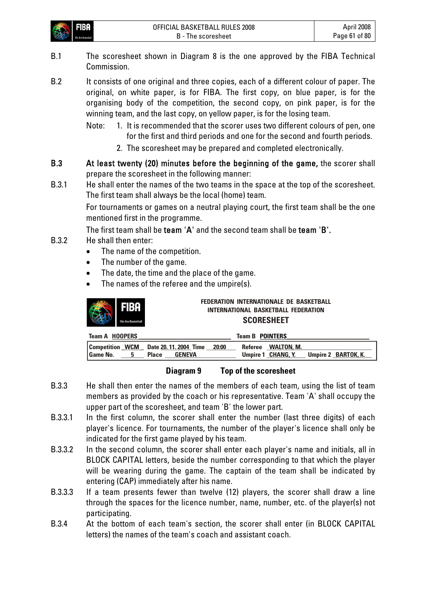B.1 The scoresheet shown in [Diagram 8](#page-59-0) is the one approved by the FIBA Technical Commission.

B.2 It consists of one original and three copies, each of a different colour of paper. The original, on white paper, is for FIBA. The first copy, on blue paper, is for the organising body of the competition, the second copy, on pink paper, is for the winning team, and the last copy, on yellow paper, is for the losing team.

- Note: 1. It is recommended that the scorer uses two different colours of pen, one for the first and third periods and one for the second and fourth periods.
	- 2. The scoresheet may be prepared and completed electronically.
- B.3 At least twenty (20) minutes before the beginning of the game, the scorer shall prepare the scoresheet in the following manner:
- B.3.1 He shall enter the names of the two teams in the space at the top of the scoresheet. The first team shall always be the local (home) team.

For tournaments or games on a neutral playing court, the first team shall be the one mentioned first in the programme.

The first team shall be team 'A' and the second team shall be team 'B'.

- B.3.2 He shall then enter:
	- The name of the competition.
	- The number of the game.
	- The date, the time and the place of the game.
	- The names of the referee and the umpire(s).



**FEDERATION INTERNATIONALE DE BASKETBALL INTERNATIONAL BASKETBALL FEDERATION SCORESHEET**

| Team A HOOPERS                                                | <b>Team B POINTERS</b>   |                                                              |  |  |
|---------------------------------------------------------------|--------------------------|--------------------------------------------------------------|--|--|
| Competition WCM Date 20.11.2004 Time<br><b>Game No.</b><br>-5 | 20:00<br>GENEVA<br>Place | Referee WALTON, M.<br>Umpire 1 CHANG, Y. Umpire 2 BARTOK, K. |  |  |

## **Diagram 9 Top of the scoresheet**

- B.3.3 He shall then enter the names of the members of each team, using the list of team members as provided by the coach or his representative. Team 'A' shall occupy the upper part of the scoresheet, and team 'B' the lower part.
- B.3.3.1 In the first column, the scorer shall enter the number (last three digits) of each player's licence. For tournaments, the number of the player's licence shall only be indicated for the first game played by his team.
- B.3.3.2 In the second column, the scorer shall enter each player's name and initials, all in BLOCK CAPITAL letters, beside the number corresponding to that which the player will be wearing during the game. The captain of the team shall be indicated by entering (CAP) immediately after his name.
- B.3.3.3 If a team presents fewer than twelve (12) players, the scorer shall draw a line through the spaces for the licence number, name, number, etc. of the player(s) not participating.
- B.3.4 At the bottom of each team's section, the scorer shall enter (in BLOCK CAPITAL letters) the names of the team's coach and assistant coach.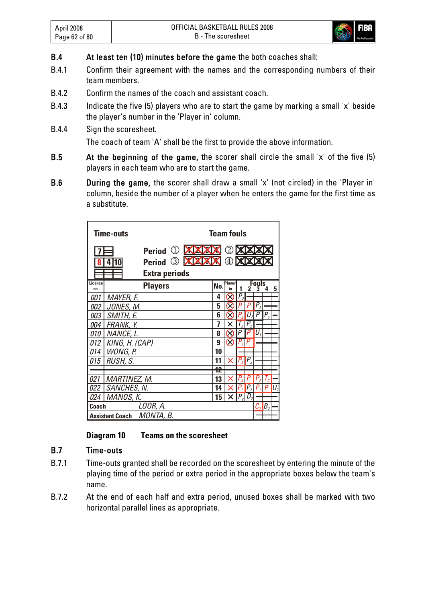

## B.4 At least ten (10) minutes before the game the both coaches shall:

- B.4.1 Confirm their agreement with the names and the corresponding numbers of their team members.
- B.4.2 Confirm the names of the coach and assistant coach.
- B.4.3 Indicate the five (5) players who are to start the game by marking a small 'x' beside the player's number in the 'Player in' column.
- B.4.4 Sign the scoresheet.

The coach of team 'A' shall be the first to provide the above information.

- B.5 At the beginning of the game, the scorer shall circle the small 'x' of the five (5) players in each team who are to start the game.
- B.6 During the game, the scorer shall draw a small 'x' (not circled) in the 'Player in' column, beside the number of a player when he enters the game for the first time as a substitute.

|                | Time-outs                                                                                | <b>Team fouls</b> |                             |                    |                     |                     |         |                            |
|----------------|------------------------------------------------------------------------------------------|-------------------|-----------------------------|--------------------|---------------------|---------------------|---------|----------------------------|
|                | Period 1 XXXXX 2 XXXX<br>Period 3 XXXX 4 XXXX<br><b>10</b><br>41<br><b>Extra periods</b> |                   |                             |                    |                     |                     |         |                            |
| Licence<br>no. | <b>Players</b>                                                                           | No.               | <b>Player</b><br>in         |                    |                     | <b>Fouls</b><br>3   |         | 5                          |
| 001            | <b>MAYER, F.</b>                                                                         | 4                 | $\infty$                    | P <sub>2</sub>     |                     |                     |         |                            |
| 002 I          | JONES, M.                                                                                | 5                 |                             | P                  | P                   | $P_{\rm _2}$        |         |                            |
| OO3 I          | SMITH, E.                                                                                | 6                 | $\otimes$                   | $P_2$              | $U_{2}$             | P                   | $P_{1}$ |                            |
| 004            | FRANK, Y.                                                                                | 7                 | $\times$                    | $\overline{T}_2$   | $P_{2}$             |                     |         |                            |
| 010            | NANCE, L.                                                                                | 8                 | $\overline{\otimes}$        | P                  | P                   | U.                  |         |                            |
| 012            | KING, H. (CAP)                                                                           | 9                 | $\otimes$                   | $P_1$              |                     |                     |         |                            |
| 014            | WONG, P.                                                                                 | 10                |                             |                    |                     |                     |         |                            |
| 015            | RUSH, S.                                                                                 | 11                | $\overline{\mathsf{x}}$     | $P_{3}$            | $\overline{P_{_2}}$ |                     |         |                            |
|                |                                                                                          | 10<br>12          |                             |                    |                     |                     |         |                            |
| 021            | <b>MARTINEZ, M.</b>                                                                      | 13                | $\times$                    | $\overline{P_{2}}$ | P                   | $P_{2}$             |         |                            |
| 022 I          | SANCHES, N.                                                                              | 14                | $\boldsymbol{\mathsf{X}}$ . | $P_2$              | $\overline{P}_2$    | $P_{2}$             |         | $U_{\scriptscriptstyle 2}$ |
|                | 024   MANOS, K.                                                                          | 15                | $\times$                    |                    | $P_{2} D_{2}$       |                     |         |                            |
| Coach          | LOOR, A.                                                                                 |                   |                             |                    |                     | $\mathcal{C}_i$ $ $ | $ B_2 $ |                            |
|                | <b>Assistant Coach MONTA, B.</b>                                                         |                   |                             |                    |                     |                     |         |                            |

## **Diagram 10 Teams on the scoresheet**

## B.7 Time-outs

- B.7.1 Time-outs granted shall be recorded on the scoresheet by entering the minute of the playing time of the period or extra period in the appropriate boxes below the team's name.
- B.7.2 At the end of each half and extra period, unused boxes shall be marked with two horizontal parallel lines as appropriate.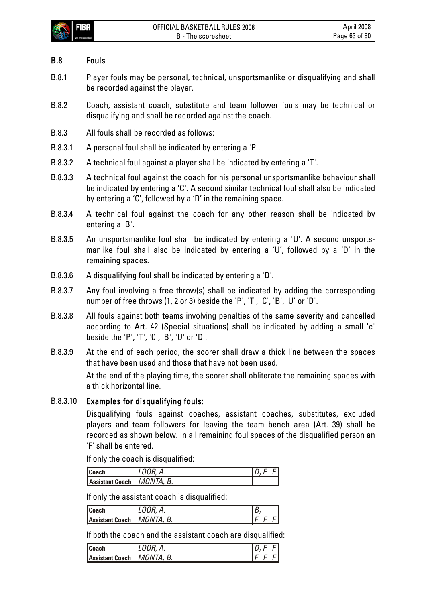

#### B.8 Fouls

- B.8.1 Player fouls may be personal, technical, unsportsmanlike or disqualifying and shall be recorded against the player.
- B.8.2 Coach, assistant coach, substitute and team follower fouls may be technical or disqualifying and shall be recorded against the coach.
- B.8.3 All fouls shall be recorded as follows:
- B.8.3.1 A personal foul shall be indicated by entering a 'P'.
- B.8.3.2 A technical foul against a player shall be indicated by entering a 'T'.
- B.8.3.3 A technical foul against the coach for his personal unsportsmanlike behaviour shall be indicated by entering a 'C'. A second similar technical foul shall also be indicated by entering a 'C', followed by a 'D' in the remaining space.
- B.8.3.4 A technical foul against the coach for any other reason shall be indicated by entering a 'B'.
- B.8.3.5 An unsportsmanlike foul shall be indicated by entering a 'U'. A second unsportsmanlike foul shall also be indicated by entering a 'U', followed by a 'D' in the remaining spaces.
- B.8.3.6 A disqualifying foul shall be indicated by entering a 'D'.
- B.8.3.7 Any foul involving a free throw(s) shall be indicated by adding the corresponding number of free throws (1, 2 or 3) beside the 'P', 'T', 'C', 'B', 'U' or 'D'.
- B.8.3.8 All fouls against both teams involving penalties of the same severity and cancelled according to [Art. 42 \(Special situations\)](#page-43-1) shall be indicated by adding a small 'c' beside the 'P', 'T', 'C', 'B', 'U' or 'D'.
- B.8.3.9 At the end of each period, the scorer shall draw a thick line between the spaces that have been used and those that have not been used.

At the end of the playing time, the scorer shall obliterate the remaining spaces with a thick horizontal line.

#### B.8.3.10 Examples for disqualifying fouls:

Disqualifying fouls against coaches, assistant coaches, substitutes, excluded players and team followers for leaving the team bench area ([Art. 39](#page-42-0)) shall be recorded as shown below. In all remaining foul spaces of the disqualified person an 'F' shall be entered.

If only the coach is disqualified:

| Coach           |                        |  | - |
|-----------------|------------------------|--|---|
| Assistant Coach | MON <sup>-</sup><br>В. |  |   |

If only the assistant coach is disqualified:

| <b>Coach</b>           |            | D<br>- |  |
|------------------------|------------|--------|--|
| <b>Assistant Coach</b> | MON'<br>В. |        |  |

If both the coach and the assistant coach are disqualified:

| <b>Coach</b>           | Α.           |  |  |
|------------------------|--------------|--|--|
| <b>Assistant Coach</b> | MONTA,<br>В. |  |  |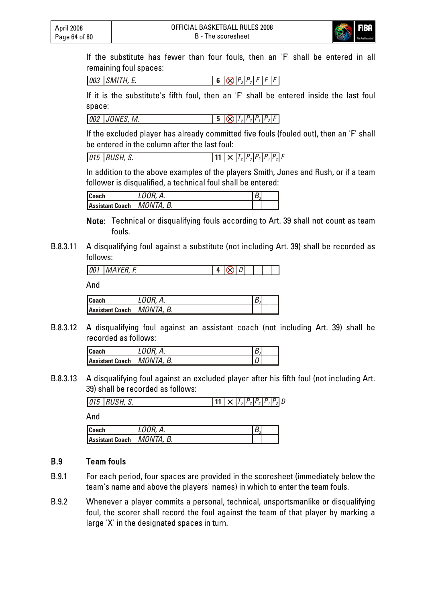

If the substitute has fewer than four fouls, then an 'F' shall be entered in all remaining foul spaces:

003 SMITH, E. **6**  $\bigotimes P_2 \bigg| P_2 \bigg| F \bigg| F \bigg| F \bigg| F$ 

If it is the substitute's fifth foul, then an 'F' shall be entered inside the last foul space:

**002** JONES, M. **5**  $\left[\bigotimes T_{2} | P_{3} | P_{1} | P_{2} | F\right]$ 

If the excluded player has already committed five fouls (fouled out), then an 'F' shall be entered in the column after the last foul:

015 RUSH, S. **11**  $\times$   $T_2$   $P_3$   $P_2$   $P_1$   $P_2$   $F_3$ 

In addition to the above examples of the players Smith, Jones and Rush, or if a team follower is disqualified, a technical foul shall be entered:

| <b>ICoach</b>          |              | D |  |
|------------------------|--------------|---|--|
| <b>Assistant Coach</b> | MONTA,<br>В. |   |  |

Note: Technical or disqualifying fouls according to [Art. 39](#page-42-0) shall not count as team fouls.

B.8.3.11 A disqualifying foul against a substitute (not including [Art. 39](#page-42-0)) shall be recorded as follows:

| 001 MAYER, F. |  |  |  |  |
|---------------|--|--|--|--|
| And           |  |  |  |  |

| Coach                     |  |  |
|---------------------------|--|--|
| Assistant Coach MONTA, B. |  |  |

B.8.3.12 A disqualifying foul against an assistant coach (not including [Art. 39](#page-42-0)) shall be recorded as follows:

| <b>Coach</b>    |              | D      |  |
|-----------------|--------------|--------|--|
| Assistant Coach | MONTA,<br>В. | Ē<br>υ |  |

B.8.3.13 A disqualifying foul against an excluded player after his fifth foul (not including [Art.](#page-42-0)  [39](#page-42-0)) shall be recorded as follows:

|015 |RUSH, S.  $\left| 11 \right| \times \left| \frac{7}{2} \right| P_3 \left| P_2 \right| P_1 \left| P_2 \right| D$ 

And

| <b>ICoach</b>          |              |  |  |
|------------------------|--------------|--|--|
| <b>Assistant Coach</b> | MONTA,<br>В. |  |  |

#### B.9 Team fouls

- B.9.1 For each period, four spaces are provided in the scoresheet (immediately below the team's name and above the players' names) in which to enter the team fouls.
- B.9.2 Whenever a player commits a personal, technical, unsportsmanlike or disqualifying foul, the scorer shall record the foul against the team of that player by marking a large 'X' in the designated spaces in turn.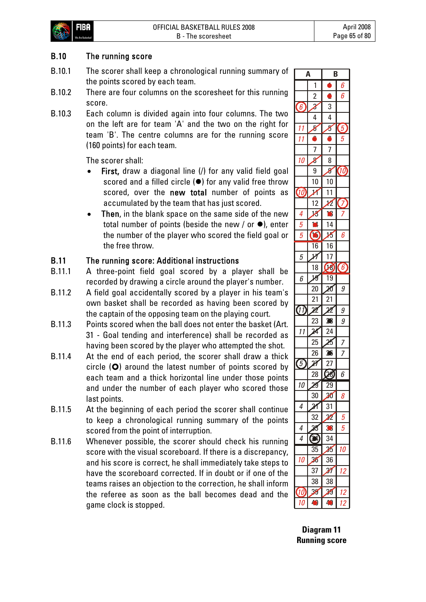

#### B.10 The running score

- B.10.1 The scorer shall keep a chronological running summary of the points scored by each team.
- B.10.2 There are four columns on the scoresheet for this running score.
- B.10.3 Each column is divided again into four columns. The two on the left are for team 'A' and the two on the right for team 'B'. The centre columns are for the running score (160 points) for each team.

The scorer shall:

- First, draw a diagonal line (/) for any valid field goal scored and a filled circle  $(\bullet)$  for any valid free throw scored, over the new total number of points as accumulated by the team that has just scored.
- Then, in the blank space on the same side of the new total number of points (beside the new / or  $\bullet$ ), enter the number of the player who scored the field goal or the free throw.

## B.11 The running score: Additional instructions

- B.11.1 A three-point field goal scored by a player shall be recorded by drawing a circle around the player's number.
- B.11.2 A field goal accidentally scored by a player in his team's own basket shall be recorded as having been scored by the captain of the opposing team on the playing court.
- B.11.3 Points scored when the ball does not enter the basket ([Art.](#page-30-0)  - [Goal tending and interference](#page-30-0)) shall be recorded as having been scored by the player who attempted the shot.
- B.11.4 At the end of each period, the scorer shall draw a thick circle  $|0\rangle$  around the latest number of points scored by each team and a thick horizontal line under those points and under the number of each player who scored those last points.
- B.11.5 At the beginning of each period the scorer shall continue to keep a chronological running summary of the points scored from the point of interruption.
- B.11.6 Whenever possible, the scorer should check his running score with the visual scoreboard. If there is a discrepancy, and his score is correct, he shall immediately take steps to have the scoreboard corrected. If in doubt or if one of the teams raises an objection to the correction, he shall inform the referee as soon as the ball becomes dead and the game clock is stopped.



#### **Diagram 11 Running score**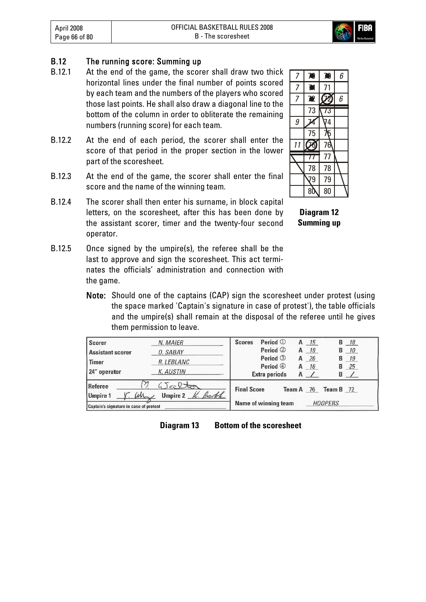

## B.12 The running score: Summing up

April 2008 Page 66 of 80

- B.12.1 At the end of the game, the scorer shall draw two thick horizontal lines under the final number of points scored by each team and the numbers of the players who scored those last points. He shall also draw a diagonal line to the bottom of the column in order to obliterate the remaining numbers (running score) for each team.
- B.12.2 At the end of each period, the scorer shall enter the score of that period in the proper section in the lower part of the scoresheet.
- B.12.3 At the end of the game, the scorer shall enter the final score and the name of the winning team.
- B.12.4 The scorer shall then enter his surname, in block capital letters, on the scoresheet, after this has been done by the assistant scorer, timer and the twenty-four second operator.

|   | 70          | 70              | 6 |
|---|-------------|-----------------|---|
|   | M           | 71              |   |
|   | 72          | $\mathcal{D}$   | 6 |
|   | 73          | $\overline{73}$ |   |
| 9 | 74          | 4               |   |
|   | 75          |                 |   |
|   | $11$ $(26)$ | 76              |   |
|   |             | 77              |   |
|   | 78          | 78              |   |
|   | 9           | 79              |   |
|   | 80          | 80              |   |

**Diagram 12 Summing up** 

- B.12.5 Once signed by the umpire(s), the referee shall be the last to approve and sign the scoresheet. This act terminates the officials' administration and connection with the game.
	- Note: Should one of the captains (CAP) sign the scoresheet under protest (using the space marked 'Captain's signature in case of protest'), the table officials and the umpire(s) shall remain at the disposal of the referee until he gives them permission to leave.

| <b>Scorer</b>                          | N. MAIER                                  | Period <sup>1</sup><br><b>Scores</b><br>15<br>$B$ 18<br>A                  |
|----------------------------------------|-------------------------------------------|----------------------------------------------------------------------------|
| <b>Assistant scorer</b>                | O. SABAY                                  | Period $\oslash$<br>10<br>- 19<br>B<br>А                                   |
| Timer                                  | R. LEBLANC                                | Period 3<br>19<br>26<br>В<br>А                                             |
| 24" operator                           | K. AUSTIN                                 | Period $\circledcirc$<br>25<br>- 16<br>в<br>A<br><b>Extra periods</b><br>A |
| Referee<br>Wh,<br><b>Umpire 1</b>      | $T \circ \mathbb{V}$<br>Umpire 2 K. Barth | <b>Final Score</b><br>Team A 76<br>Team $B$ 72                             |
| Captain's signature in case of protest |                                           | Name of winning team<br><b>HOOPERS</b>                                     |

**Diagram 13 Bottom of the scoresheet**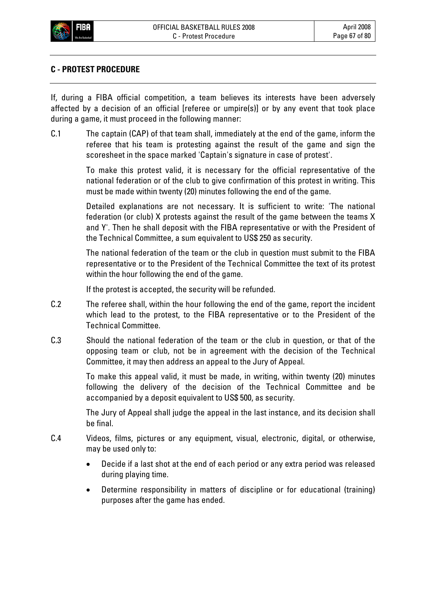

# **C - PROTEST PROCEDURE**

If, during a FIBA official competition, a team believes its interests have been adversely affected by a decision of an official [referee or umpire(s)] or by any event that took place during a game, it must proceed in the following manner:

C.1 The captain (CAP) of that team shall, immediately at the end of the game, inform the referee that his team is protesting against the result of the game and sign the scoresheet in the space marked 'Captain's signature in case of protest'.

> To make this protest valid, it is necessary for the official representative of the national federation or of the club to give confirmation of this protest in writing. This must be made within twenty (20) minutes following the end of the game.

> Detailed explanations are not necessary. It is sufficient to write: 'The national federation (or club) X protests against the result of the game between the teams X and Y'. Then he shall deposit with the FIBA representative or with the President of the Technical Committee, a sum equivalent to US\$ 250 as security.

> The national federation of the team or the club in question must submit to the FIBA representative or to the President of the Technical Committee the text of its protest within the hour following the end of the game.

If the protest is accepted, the security will be refunded.

- C.2 The referee shall, within the hour following the end of the game, report the incident which lead to the protest, to the FIBA representative or to the President of the Technical Committee.
- C.3 Should the national federation of the team or the club in question, or that of the opposing team or club, not be in agreement with the decision of the Technical Committee, it may then address an appeal to the Jury of Appeal.

To make this appeal valid, it must be made, in writing, within twenty (20) minutes following the delivery of the decision of the Technical Committee and be accompanied by a deposit equivalent to US\$ 500, as security.

The Jury of Appeal shall judge the appeal in the last instance, and its decision shall be final.

- C.4 Videos, films, pictures or any equipment, visual, electronic, digital, or otherwise, may be used only to:
	- Decide if a last shot at the end of each period or any extra period was released during playing time.
	- Determine responsibility in matters of discipline or for educational (training) purposes after the game has ended.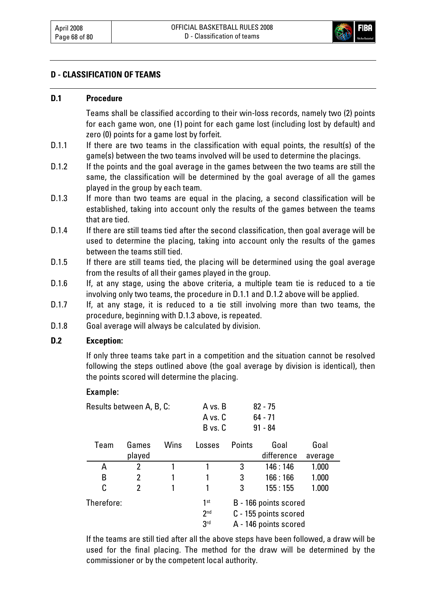

#### **D - CLASSIFICATION OF TEAMS**

#### **D.1 Procedure**

Teams shall be classified according to their win-loss records, namely two (2) points for each game won, one (1) point for each game lost (including lost by default) and zero (0) points for a game lost by forfeit.

- D.1.1 If there are two teams in the classification with equal points, the result(s) of the game(s) between the two teams involved will be used to determine the placings.
- D.1.2 If the points and the goal average in the games between the two teams are still the same, the classification will be determined by the goal average of all the games played in the group by each team.
- D.1.3 If more than two teams are equal in the placing, a second classification will be established, taking into account only the results of the games between the teams that are tied.
- D.1.4 If there are still teams tied after the second classification, then goal average will be used to determine the placing, taking into account only the results of the games between the teams still tied.
- D.1.5 If there are still teams tied, the placing will be determined using the goal average from the results of all their games played in the group.
- D.1.6 If, at any stage, using the above criteria, a multiple team tie is reduced to a tie involving only two teams, the procedure in D.1.1 and D.1.2 above will be applied.
- D.1.7 If, at any stage, it is reduced to a tie still involving more than two teams, the procedure, beginning with D.1.3 above, is repeated.
- D.1.8 Goal average will always be calculated by division.

#### **D.2 Exception:**

If only three teams take part in a competition and the situation cannot be resolved following the steps outlined above (the goal average by division is identical), then the points scored will determine the placing.

#### Example:

| Results between A, B, C: |                 |      | A vs. B<br>A vs. C<br>B vs. C |        | $82 - 75$<br>$64 - 71$<br>$91 - 84$ |                 |
|--------------------------|-----------------|------|-------------------------------|--------|-------------------------------------|-----------------|
| Team                     | Games<br>played | Wins | Losses                        | Points | Goal<br>difference                  | Goal<br>average |
| А                        | 2               |      |                               | 3      | 146:146                             | 1.000           |
| В                        | 2               |      |                               | 3      | 166:166                             | 1.000           |
| C                        | 2               |      |                               | 3      | 155:155                             | 1.000           |
| Therefore:               |                 |      | 1 <sup>st</sup>               |        | B - 166 points scored               |                 |
|                          |                 |      | 2 <sub>nd</sub>               |        | C - 155 points scored               |                 |
|                          |                 |      | 3 <sup>rd</sup>               |        | A - 146 points scored               |                 |

If the teams are still tied after all the above steps have been followed, a draw will be used for the final placing. The method for the draw will be determined by the commissioner or by the competent local authority.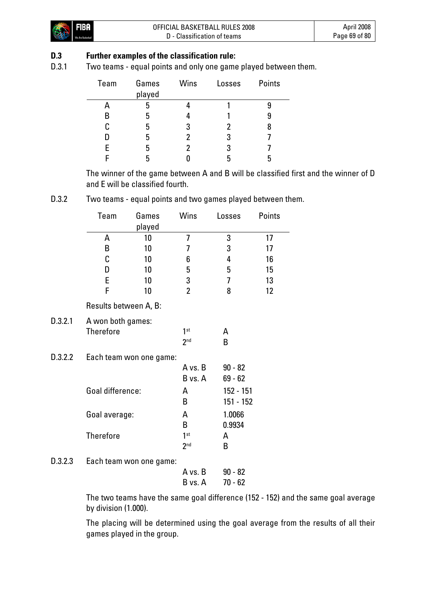

# **D.3 Further examples of the classification rule:**

D.3.1 Two teams - equal points and only one game played between them.

| Team | Games<br>played | Wins | Losses | Points |
|------|-----------------|------|--------|--------|
|      | 5               |      |        |        |
| B    | 5               |      |        | 9      |
| C    | 5               | 3    |        | 8      |
|      | 5               |      | 3      |        |
| F    | 5               | 2    | 3      |        |
|      | 5               |      | 5      |        |

The winner of the game between A and B will be classified first and the winner of D and E will be classified fourth.

D.3.2 Two teams - equal points and two games played between them.

|         | Team                  | Games                   | Wins            | Losses    | Points |
|---------|-----------------------|-------------------------|-----------------|-----------|--------|
|         |                       | played                  |                 |           |        |
|         | A                     | 10 <sup>°</sup>         | 7               | 3         | 17     |
|         | В                     | 10                      | 7               | 3         | 17     |
|         | C                     | 10                      | 6               | 4         | 16     |
|         | D                     | 10                      | 5               | 5         | 15     |
|         | E                     | 10                      | 3               | 7         | 13     |
|         | F                     | 10                      | 2               | 8         | 12     |
|         | Results between A, B: |                         |                 |           |        |
| D.3.2.1 | A won both games:     |                         |                 |           |        |
|         | <b>Therefore</b>      |                         | 1 <sup>st</sup> | A         |        |
|         |                       |                         | 2 <sub>nd</sub> | B         |        |
| D.3.2.2 |                       | Each team won one game: |                 |           |        |
|         |                       |                         | A vs. B         | $90 - 82$ |        |
|         |                       |                         | B vs. A         | $69 - 62$ |        |
|         | Goal difference:      |                         | A               | 152 - 151 |        |
|         |                       |                         | B               | 151 - 152 |        |
|         | Goal average:         |                         | A               | 1.0066    |        |
|         |                       |                         | B               | 0.9934    |        |
|         | <b>Therefore</b>      |                         | 1 <sup>st</sup> | А         |        |
|         |                       |                         | 2 <sub>nd</sub> | B         |        |
|         |                       |                         |                 |           |        |

D.3.2.3 Each team won one game:

| A vs. B | $90 - 82$ |
|---------|-----------|
| B vs. A | 70 - 62   |

The two teams have the same goal difference (152 - 152) and the same goal average by division (1.000).

The placing will be determined using the goal average from the results of all their games played in the group.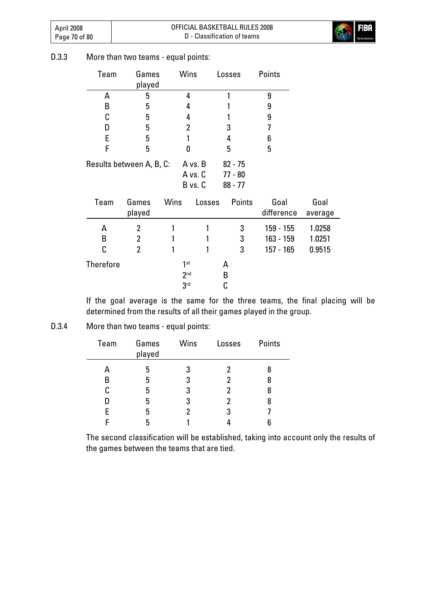| April 2008<br>Page 70 of 80 | OFFICIAL BASKETBALL RULES 2008<br>D - Classification of teams |  |
|-----------------------------|---------------------------------------------------------------|--|
|                             |                                                               |  |

## D.3.3 More than two teams - equal points:

| Team                     | Games          |             | Wins            | Losses    | Points      |         |
|--------------------------|----------------|-------------|-----------------|-----------|-------------|---------|
|                          | played         |             |                 |           |             |         |
| A                        | 5              |             | 4               | 1         | 9           |         |
| B                        | 5              |             | 4               |           | 9           |         |
| C                        | 5              |             | 4               |           | 9           |         |
| D                        | 5              |             | $\overline{2}$  | 3         | 7           |         |
| E                        | 5              |             |                 | 4         | 6           |         |
| F                        | 5              |             | 0               | 5         | 5           |         |
| Results between A, B, C: |                |             | A vs. B         | $82 - 75$ |             |         |
|                          |                |             | A vs. C         | $77 - 80$ |             |         |
|                          |                |             | B vs. C         | $88 - 77$ |             |         |
|                          |                |             |                 |           |             |         |
| Team                     | Games          | <b>Wins</b> | Losses          | Points    | Goal        | Goal    |
|                          | played         |             |                 |           | difference  | average |
| A                        | 2              |             |                 | 3         | 159 - 155   | 1.0258  |
| B                        | $\overline{2}$ |             |                 | 3         | $163 - 159$ | 1.0251  |
| C                        | $\overline{2}$ |             |                 | 3         | 157 - 165   | 0.9515  |
| <b>Therefore</b>         |                |             | 1 <sup>st</sup> | A         |             |         |
|                          |                |             | 2 <sub>nd</sub> | B         |             |         |
|                          |                |             | 3 <sup>rd</sup> | С         |             |         |

If the goal average is the same for the three teams, the final placing will be determined from the results of all their games played in the group.

## D.3.4 More than two teams - equal points:

| Team | Games<br>played | Wins | Losses | Points |
|------|-----------------|------|--------|--------|
| A    | 5               |      |        | 8      |
| B    | 5               | 3    | 2      | 8      |
|      | 5               | 3    |        | 8      |
|      | 5               | 3    | 2      | 8      |
| E    | 5               |      | 3      |        |
|      | 5               |      |        |        |

The second classification will be established, taking into account only the results of the games between the teams that are tied.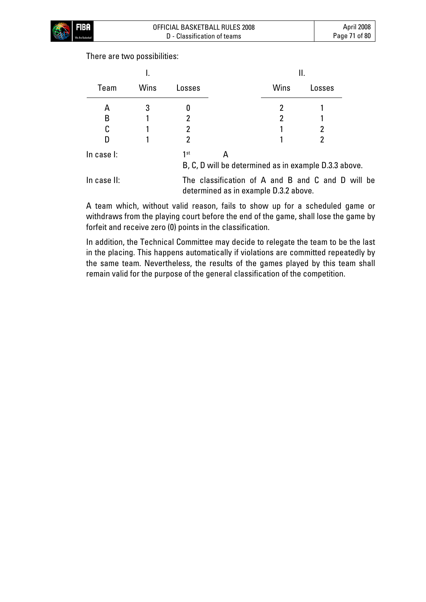#### There are two possibilities:

| Team        | Wins | Losses |                                                                                            | Wins | Losses |  |
|-------------|------|--------|--------------------------------------------------------------------------------------------|------|--------|--|
| А           |      |        |                                                                                            |      |        |  |
| B           |      |        |                                                                                            |      |        |  |
| C           |      |        |                                                                                            |      |        |  |
|             |      | 2      |                                                                                            |      |        |  |
| In case I:  |      | 1st    | А<br>B, C, D will be determined as in example D.3.3 above.                                 |      |        |  |
| In case II: |      |        | The classification of A and B and C and D will be<br>determined as in example D.3.2 above. |      |        |  |

A team which, without valid reason, fails to show up for a scheduled game or withdraws from the playing court before the end of the game, shall lose the game by forfeit and receive zero (0) points in the classification.

In addition, the Technical Committee may decide to relegate the team to be the last in the placing. This happens automatically if violations are committed repeatedly by the same team. Nevertheless, the results of the games played by this team shall remain valid for the purpose of the general classification of the competition.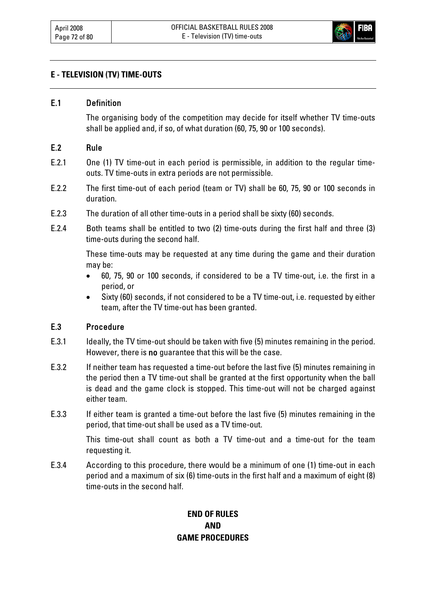

#### **E - TELEVISION (TV) TIME-OUTS**

#### E.1 Definition

The organising body of the competition may decide for itself whether TV time-outs shall be applied and, if so, of what duration (60, 75, 90 or 100 seconds).

#### E.2 Rule

- E.2.1 One (1) TV time-out in each period is permissible, in addition to the regular timeouts. TV time-outs in extra periods are not permissible.
- E.2.2 The first time-out of each period (team or TV) shall be 60, 75, 90 or 100 seconds in duration.
- E.2.3 The duration of all other time-outs in a period shall be sixty (60) seconds.
- E.2.4 Both teams shall be entitled to two (2) time-outs during the first half and three (3) time-outs during the second half.

These time-outs may be requested at any time during the game and their duration may be:

- 60, 75, 90 or 100 seconds, if considered to be a TV time-out, i.e. the first in a period, or
- Sixty (60) seconds, if not considered to be a TV time-out, i.e. requested by either team, after the TV time-out has been granted.

#### E.3 Procedure

- E.3.1 Ideally, the TV time-out should be taken with five (5) minutes remaining in the period. However, there is no guarantee that this will be the case.
- E.3.2 If neither team has requested a time-out before the last five (5) minutes remaining in the period then a TV time-out shall be granted at the first opportunity when the ball is dead and the game clock is stopped. This time-out will not be charged against either team.
- E.3.3 If either team is granted a time-out before the last five (5) minutes remaining in the period, that time-out shall be used as a TV time-out.

This time-out shall count as both a TV time-out and a time-out for the team requesting it.

E.3.4 According to this procedure, there would be a minimum of one (1) time-out in each period and a maximum of six (6) time-outs in the first half and a maximum of eight (8) time-outs in the second half.

# **END OF RULES AND GAME PROCEDURES**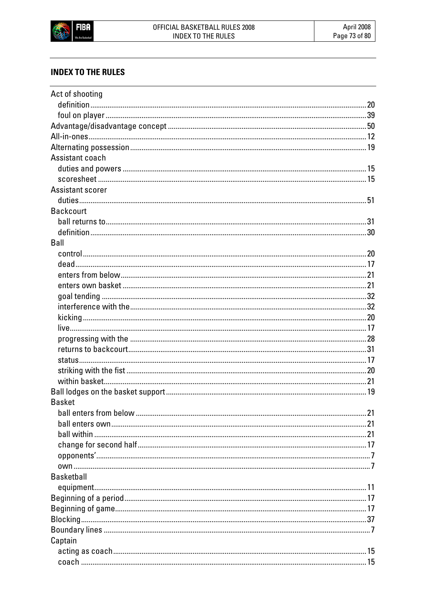

# **INDEX TO THE RULES**

| Act of shooting   |  |
|-------------------|--|
|                   |  |
|                   |  |
|                   |  |
|                   |  |
|                   |  |
| Assistant coach   |  |
|                   |  |
|                   |  |
| Assistant scorer  |  |
|                   |  |
| <b>Backcourt</b>  |  |
|                   |  |
|                   |  |
| Ball              |  |
|                   |  |
|                   |  |
|                   |  |
|                   |  |
|                   |  |
|                   |  |
|                   |  |
|                   |  |
|                   |  |
|                   |  |
|                   |  |
|                   |  |
|                   |  |
|                   |  |
| <b>Basket</b>     |  |
|                   |  |
|                   |  |
|                   |  |
|                   |  |
|                   |  |
|                   |  |
| <b>Basketball</b> |  |
|                   |  |
|                   |  |
|                   |  |
|                   |  |
|                   |  |
| Captain           |  |
|                   |  |
|                   |  |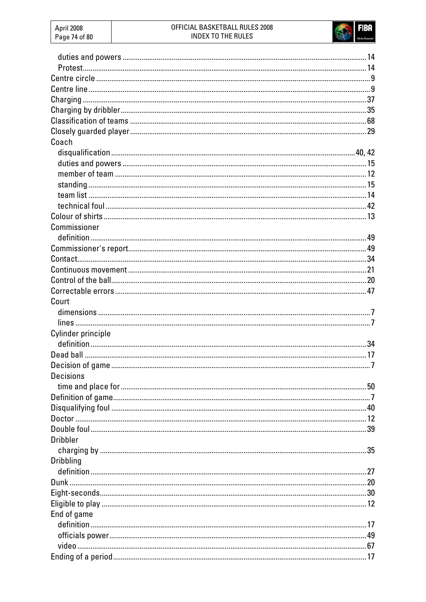

| Coach                     |  |
|---------------------------|--|
|                           |  |
|                           |  |
|                           |  |
|                           |  |
|                           |  |
|                           |  |
|                           |  |
| Commissioner              |  |
|                           |  |
|                           |  |
|                           |  |
|                           |  |
|                           |  |
|                           |  |
| Court                     |  |
|                           |  |
|                           |  |
| <b>Cylinder principle</b> |  |
|                           |  |
|                           |  |
|                           |  |
| <b>Decisions</b>          |  |
|                           |  |
|                           |  |
|                           |  |
|                           |  |
|                           |  |
| <b>Dribbler</b>           |  |
|                           |  |
| <b>Dribbling</b>          |  |
|                           |  |
|                           |  |
|                           |  |
|                           |  |
| End of game               |  |
|                           |  |
|                           |  |
|                           |  |
|                           |  |
|                           |  |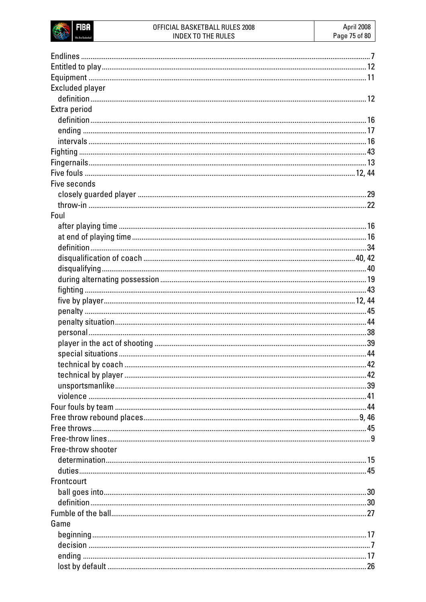

| <b>Excluded player</b> |  |
|------------------------|--|
|                        |  |
| Extra period           |  |
|                        |  |
|                        |  |
|                        |  |
|                        |  |
|                        |  |
|                        |  |
| Five seconds           |  |
|                        |  |
|                        |  |
| Foul                   |  |
|                        |  |
|                        |  |
|                        |  |
|                        |  |
|                        |  |
|                        |  |
|                        |  |
|                        |  |
|                        |  |
|                        |  |
|                        |  |
|                        |  |
|                        |  |
|                        |  |
|                        |  |
|                        |  |
|                        |  |
|                        |  |
|                        |  |
|                        |  |
|                        |  |
| Free-throw shooter     |  |
|                        |  |
|                        |  |
| Frontcourt             |  |
|                        |  |
|                        |  |
|                        |  |
| Game                   |  |
|                        |  |
|                        |  |
|                        |  |
|                        |  |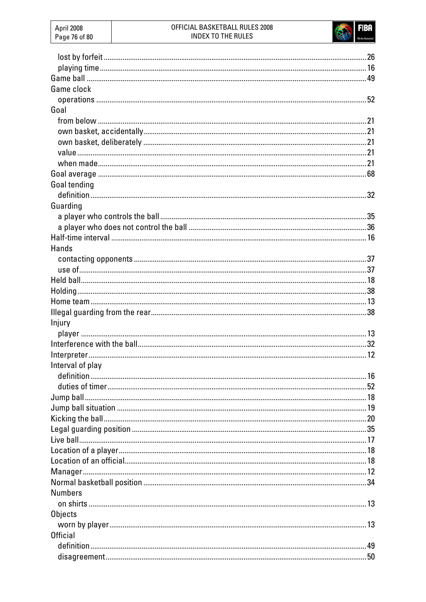

| Game clock       |  |
|------------------|--|
|                  |  |
| Goal             |  |
|                  |  |
|                  |  |
|                  |  |
|                  |  |
|                  |  |
|                  |  |
| Goal tending     |  |
|                  |  |
| Guarding         |  |
|                  |  |
|                  |  |
|                  |  |
| Hands            |  |
|                  |  |
|                  |  |
|                  |  |
|                  |  |
|                  |  |
|                  |  |
| Injury           |  |
|                  |  |
|                  |  |
|                  |  |
| Interval of play |  |
|                  |  |
|                  |  |
|                  |  |
|                  |  |
|                  |  |
|                  |  |
|                  |  |
|                  |  |
|                  |  |
|                  |  |
|                  |  |
| <b>Numbers</b>   |  |
|                  |  |
| Objects          |  |
|                  |  |
| <b>Official</b>  |  |
|                  |  |
|                  |  |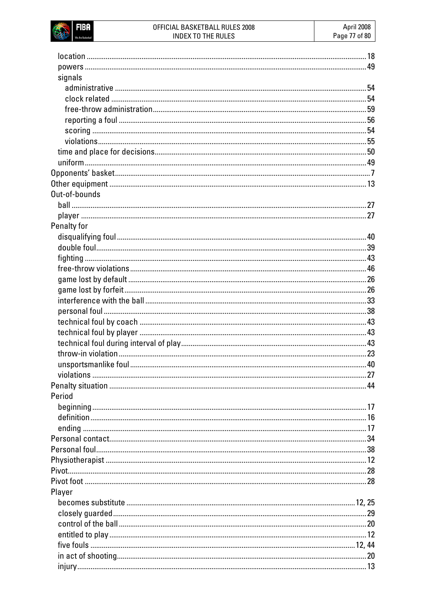

| signals       |  |
|---------------|--|
|               |  |
|               |  |
|               |  |
|               |  |
|               |  |
|               |  |
|               |  |
|               |  |
|               |  |
|               |  |
| Out-of-bounds |  |
|               |  |
|               |  |
| Penalty for   |  |
|               |  |
|               |  |
|               |  |
|               |  |
|               |  |
|               |  |
|               |  |
|               |  |
|               |  |
|               |  |
|               |  |
|               |  |
|               |  |
|               |  |
|               |  |
| Period        |  |
|               |  |
|               |  |
|               |  |
|               |  |
|               |  |
|               |  |
|               |  |
|               |  |
| Player        |  |
|               |  |
|               |  |
|               |  |
|               |  |
|               |  |
|               |  |
|               |  |
|               |  |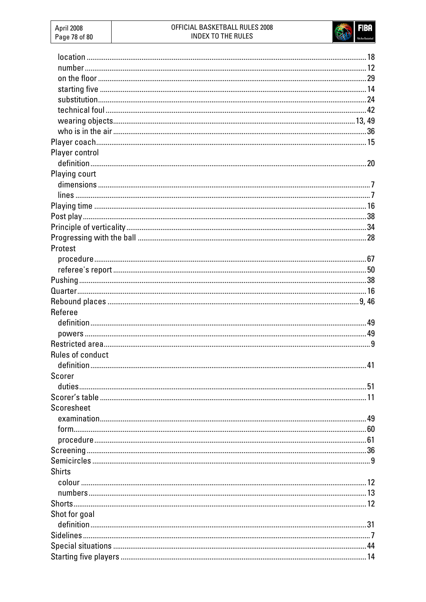

| Player control          |  |
|-------------------------|--|
|                         |  |
| Playing court           |  |
|                         |  |
|                         |  |
|                         |  |
|                         |  |
|                         |  |
|                         |  |
| Protest                 |  |
|                         |  |
|                         |  |
|                         |  |
|                         |  |
|                         |  |
| Referee                 |  |
|                         |  |
|                         |  |
|                         |  |
| <b>Rules of conduct</b> |  |
|                         |  |
| <b>Scorer</b>           |  |
|                         |  |
|                         |  |
| Scoresheet              |  |
|                         |  |
|                         |  |
|                         |  |
|                         |  |
|                         |  |
|                         |  |
| <b>Shirts</b>           |  |
|                         |  |
|                         |  |
|                         |  |
| Shot for goal           |  |
|                         |  |
|                         |  |
|                         |  |
|                         |  |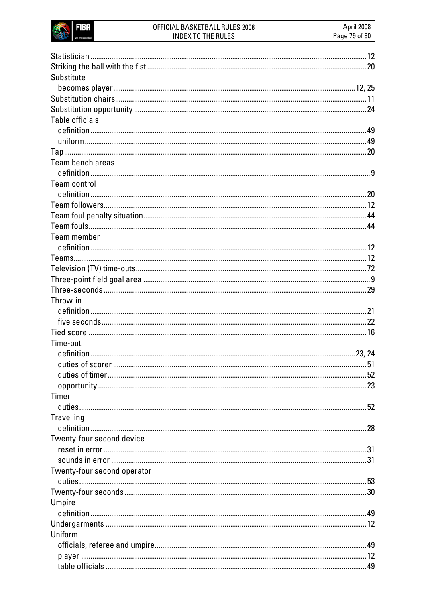

| Substitute                  |  |
|-----------------------------|--|
|                             |  |
|                             |  |
|                             |  |
| <b>Table officials</b>      |  |
|                             |  |
|                             |  |
|                             |  |
| Team bench areas            |  |
|                             |  |
| <b>Team control</b>         |  |
|                             |  |
|                             |  |
|                             |  |
|                             |  |
| Team member                 |  |
|                             |  |
|                             |  |
|                             |  |
|                             |  |
|                             |  |
| Throw-in                    |  |
|                             |  |
|                             |  |
|                             |  |
| Time-out                    |  |
|                             |  |
|                             |  |
|                             |  |
|                             |  |
| Timer                       |  |
|                             |  |
| <b>Travelling</b>           |  |
|                             |  |
| Twenty-four second device   |  |
|                             |  |
|                             |  |
| Twenty-four second operator |  |
|                             |  |
|                             |  |
| <b>Umpire</b>               |  |
|                             |  |
|                             |  |
| Uniform                     |  |
|                             |  |
|                             |  |
|                             |  |